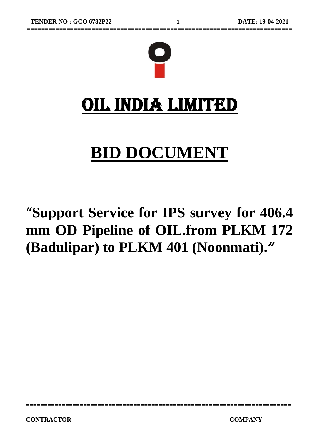

# **BID DOCUMENT**

# "**Support Service for IPS survey for 406.4 mm OD Pipeline of OIL.from PLKM 172 (Badulipar) to PLKM 401 (Noonmati).***"*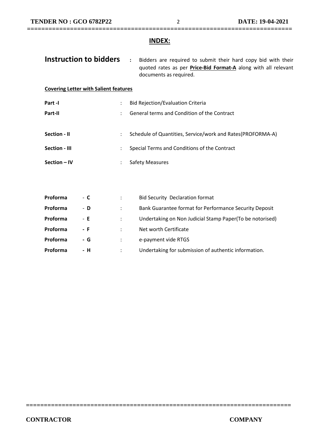### **INDEX:**

| Instruction to bidders                       |                      | $\ddot{\phantom{a}}$<br>Bidders are required to submit their hard copy bid with their<br>quoted rates as per <b>Price-Bid Format-A</b> along with all relevant<br>documents as required. |
|----------------------------------------------|----------------------|------------------------------------------------------------------------------------------------------------------------------------------------------------------------------------------|
| <b>Covering Letter with Salient features</b> |                      |                                                                                                                                                                                          |
| Part -I                                      | $\ddot{\phantom{0}}$ | <b>Bid Rejection/Evaluation Criteria</b>                                                                                                                                                 |
| Part-II                                      |                      | General terms and Condition of the Contract                                                                                                                                              |
| Section - II<br>Section - III                |                      | Schedule of Quantities, Service/work and Rates(PROFORMA-A)<br>Special Terms and Conditions of the Contract                                                                               |
| Section - IV                                 |                      | <b>Safety Measures</b>                                                                                                                                                                   |
|                                              |                      |                                                                                                                                                                                          |
| Proforma<br>- С                              | ÷                    | <b>Bid Security Declaration format</b>                                                                                                                                                   |

| <b>Proforma</b> | - D  | Bank Guarantee format for Performance Security Deposit   |
|-----------------|------|----------------------------------------------------------|
| <b>Proforma</b> | - E  | Undertaking on Non Judicial Stamp Paper(To be notorised) |
| Proforma        | - F. | Net worth Certificate                                    |
| Proforma        | - G  | e-payment vide RTGS                                      |
| <b>Proforma</b> | - H  | Undertaking for submission of authentic information.     |

**==========================================================================**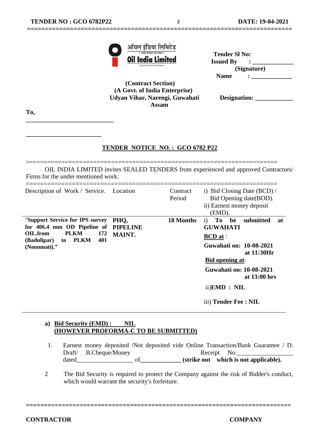**\_\_\_\_\_\_\_\_\_\_\_\_\_\_\_\_\_\_\_\_\_\_\_\_\_\_\_\_**

**\_\_\_\_\_\_\_\_\_\_\_\_\_\_\_\_\_\_\_\_\_\_\_\_**



| ंभारत सरकार का उद्यम )<br><b>Oil India Limited</b> | <b>Tender SI No:</b><br><b>Issued By</b> |
|----------------------------------------------------|------------------------------------------|
| (A Government of India Enterprise)                 | (Signature)                              |
| $\sim$                                             | <b>Name</b>                              |

 **(Contract Section) (A Govt. of India Enterprise) Udyan Vihar, Narengi, Guwahati Designation: \_\_\_\_\_\_\_\_\_\_\_\_ Assam**

**==========================================================================**

**To,**

#### **TENDER NOTICE NO. : GCO 6782 P22**

======================================================================= OIL INDIA LIMITED invites SEALED TENDERS from experienced and approved Contractors/ Firms for the under mentioned work:

| Description of Work / Service. Location                                                                                                                      |                                          | Contract<br>Period | i) Bid Closing Date $(BCD)$ /<br>Bid Opening date (BOD).<br>ii) Earnest money deposit<br>(EMD).                                                                                                                                                      |
|--------------------------------------------------------------------------------------------------------------------------------------------------------------|------------------------------------------|--------------------|------------------------------------------------------------------------------------------------------------------------------------------------------------------------------------------------------------------------------------------------------|
| "Support Service for IPS survey"<br>for 406.4 mm OD Pipeline of<br>OIL.from<br><b>PLKM</b><br>172<br><b>PLKM</b><br>401<br>(Badulipar)<br>to<br>(Noonmati)." | PHO,<br><b>PIPELINE</b><br><b>MAINT.</b> | 18 Months          | To<br>submitted<br>be<br>$\mathbf{i}$ )<br>at<br><b>GUWAHATI</b><br><b>BCD</b> at :<br>Guwahati on: 10-08-2021<br>at 11:30Hr<br><b>Bid opening at:</b><br>Guwahati on: 10-08-2021<br>at 13:00 hrs<br>$ii)$ <b>EMD</b> : NIL<br>iii) Tender Fee : NIL |

#### **a) Bid Security (EMD) : NIL (HOWEVER PROFORMA-C TO BE SUBMITTED)**

- 1. Earnest money deposited /Not deposited vide Online Transaction/Bank Guarantee / D. Draft/ B.Cheque/Money Receipt No. dated\_\_\_\_\_\_\_\_\_\_\_\_\_\_\_\_\_\_ of**\_\_\_\_\_\_\_\_\_\_\_\_\_ (strike out which is not applicable).**
- 2 The Bid Security is required to protect the Company against the risk of Bidder's conduct, which would warrant the security's forfeiture.

**==========================================================================**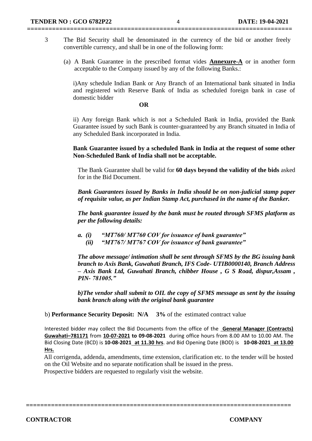3 The Bid Security shall be denominated in the currency of the bid or another freely convertible currency, and shall be in one of the following form:

**==========================================================================**

(a) A Bank Guarantee in the prescribed format vides **Annexure-A** or in another form acceptable to the Company issued by any of the following Banks.:

i)Any schedule Indian Bank or Any Branch of an International bank situated in India and registered with Reserve Bank of India as scheduled foreign bank in case of domestic bidder

#### **OR**

ii) Any foreign Bank which is not a Scheduled Bank in India, provided the Bank Guarantee issued by such Bank is counter-guaranteed by any Branch situated in India of any Scheduled Bank incorporated in India.

**Bank Guarantee issued by a scheduled Bank in India at the request of some other Non-Scheduled Bank of India shall not be acceptable.**

The Bank Guarantee shall be valid for **60 days beyond the validity of the bids** asked for in the Bid Document.

*Bank Guarantees issued by Banks in India should be on non-judicial stamp paper of requisite value, as per Indian Stamp Act, purchased in the name of the Banker.*

*The bank guarantee issued by the bank must be routed through SFMS platform as per the following details:*

- *a. (i) "MT760/ MT760 COV for issuance of bank guarantee"*
	- *(ii) "MT767/ MT767 COV for issuance of bank guarantee"*

*The above message/ intimation shall be sent through SFMS by the BG issuing bank branch to Axis Bank, Guwahati Branch, IFS Code- UTIB0000140, Branch Address – Axis Bank Ltd, Guwahati Branch, chibber House , G S Road, dispur,Assam , PIN- 781005."*

*b)The vendor shall submit to OIL the copy of SFMS message as sent by the issuing bank branch along with the original bank guarantee*

b) **Performance Security Deposit: N/A 3%** of the estimated contract value

Interested bidder may collect the Bid Documents from the office of the **General Manager (Contracts) Guwahati–781171** from **10-07-2021 to 09-08-2021** during office hours from 8.00 AM to 10.00 AM. The Bid Closing Date (BCD) is **10-08-2021 at 11.30 hrs**. and Bid Opening Date (BOD) is **10-08-2021 at 13.00 Hrs.**

 All corrigenda, addenda, amendments, time extension, clarification etc. to the tender will be hosted on the Oil Website and no separate notification shall be issued in the press.

**==========================================================================**

Prospective bidders are requested to regularly visit the website.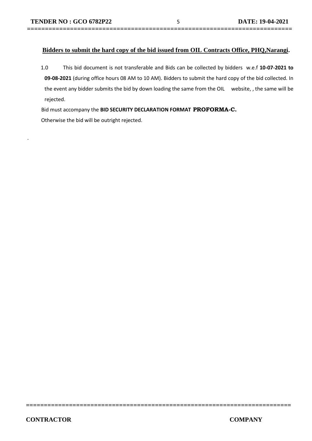.

#### **Bidders to submit the hard copy of the bid issued from OIL Contracts Office, PHQ,Narangi.**

**==========================================================================**

1.0 This bid document is not transferable and Bids can be collected by bidders w.e.f **10-07-2021 to 09-08-2021** (during office hours 08 AM to 10 AM). Bidders to submit the hard copy of the bid collected. In the event any bidder submits the bid by down loading the same from the OIL website, , the same will be rejected.

**==========================================================================**

Bid must accompany the **BID SECURITY DECLARATION FORMAT PROFORMA-C.** 

Otherwise the bid will be outright rejected.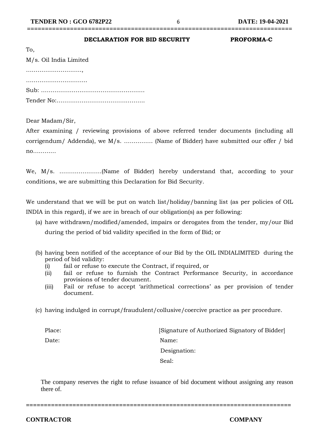## **==========================================================================**

| DECLARATION FOR BID SECURITY | <b>PROFORMA-C</b> |
|------------------------------|-------------------|
|                              |                   |

| To,                    |
|------------------------|
| M/s. Oil India Limited |
|                        |
|                        |
|                        |
|                        |

Dear Madam/Sir,

After examining / reviewing provisions of above referred tender documents (including all corrigendum/ Addenda), we M/s. …………… (Name of Bidder) have submitted our offer / bid no…………

We, M/s. ………………….(Name of Bidder) hereby understand that, according to your conditions, we are submitting this Declaration for Bid Security.

We understand that we will be put on watch list/holiday/banning list (as per policies of OIL INDIA in this regard), if we are in breach of our obligation(s) as per following:

- (a) have withdrawn/modified/amended, impairs or derogates from the tender, my/our Bid during the period of bid validity specified in the form of Bid; or
- (b) having been notified of the acceptance of our Bid by the OIL INDIALIMITED during the period of bid validity:
	- (i) fail or refuse to execute the Contract, if required, or
	- (ii) fail or refuse to furnish the Contract Performance Security, in accordance provisions of tender document.
	- (iii) Fail or refuse to accept 'arithmetical corrections' as per provision of tender document.
- (c) having indulged in corrupt/fraudulent/collusive/coercive practice as per procedure.

Place: [Signature of Authorized Signatory of Bidder] Date: Name: Designation: Seal: Seal: Seal: Seal: Seal: Seal: Seal: Seal: Seal: Seal: Seal: Seal: Seal: Seal: Seal: Seal: Seal: Seal: Seal: Seal: Seal: Seal: Seal: Seal: Seal: Seal: Seal: Seal: Seal: Seal: Seal: Seal: Seal: Seal: Seal: Seal: Seal:

The company reserves the right to refuse issuance of bid document without assigning any reason there of.

**==========================================================================**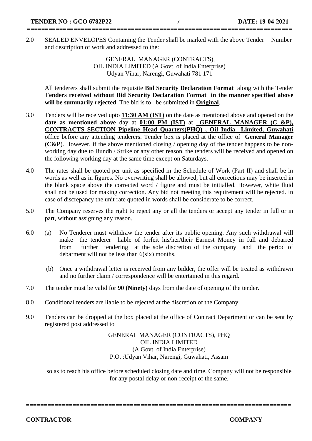2.0 SEALED ENVELOPES Containing the Tender shall be marked with the above Tender Number and description of work and addressed to the:

**==========================================================================**

GENERAL MANAGER (CONTRACTS), OIL INDIA LIMITED (A Govt. of India Enterprise) Udyan Vihar, Narengi, Guwahati 781 171

All tenderers shall submit the requisite **Bid Security Declaration Format** along with the Tender **Tenders received without Bid Security Declaration Format in the manner specified above will be summarily rejected**. The bid is to be submitted in **Original**.

- 3.0 Tenders will be received upto **11:30 AM (IST)** on the date as mentioned above and opened on the **date as mentioned above** day at **01:00 PM (IST)** at **GENERAL MANAGER (C &P), CONTRACTS SECTION Pipeline Head Quarters(PHQ) , Oil India Limited, Guwahati**  office before any attending tenderers. Tender box is placed at the office of **General Manager (C&P**). However, if the above mentioned closing / opening day of the tender happens to be nonworking day due to Bundh / Strike or any other reason, the tenders will be received and opened on the following working day at the same time except on Saturdays.
- 4.0 The rates shall be quoted per unit as specified in the Schedule of Work (Part II) and shall be in words as well as in figures. No overwriting shall be allowed, but all corrections may be inserted in the blank space above the corrected word / figure and must be initialled. However, white fluid shall not be used for making correction. Any bid not meeting this requirement will be rejected. In case of discrepancy the unit rate quoted in words shall be considerate to be correct.
- 5.0 The Company reserves the right to reject any or all the tenders or accept any tender in full or in part, without assigning any reason.
- 6.0 (a) No Tenderer must withdraw the tender after its public opening. Any such withdrawal will make the tenderer liable of forfeit his/her/their Earnest Money in full and debarred from further tendering at the sole discretion of the company and the period of debarment will not be less than 6(six) months.
	- (b) Once a withdrawal letter is received from any bidder, the offer will be treated as withdrawn and no further claim / correspondence will be entertained in this regard.
- 7.0 The tender must be valid for **90 (Ninety)** days from the date of opening of the tender.
- 8.0 Conditional tenders are liable to be rejected at the discretion of the Company.
- 9.0 Tenders can be dropped at the box placed at the office of Contract Department or can be sent by registered post addressed to

GENERAL MANAGER (CONTRACTS), PHQ OIL INDIA LIMITED (A Govt. of India Enterprise) P.O. :Udyan Vihar, Narengi, Guwahati, Assam

so as to reach his office before scheduled closing date and time. Company will not be responsible for any postal delay or non-receipt of the same.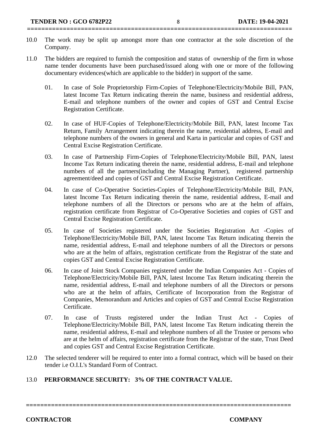10.0 The work may be split up amongst more than one contractor at the sole discretion of the Company.

**==========================================================================**

- 11.0 The bidders are required to furnish the composition and status of ownership of the firm in whose name tender documents have been purchased/issued along with one or more of the following documentary evidences(which are applicable to the bidder) in support of the same.
	- 01. In case of Sole Proprietorship Firm-Copies of Telephone/Electricity/Mobile Bill, PAN, latest Income Tax Return indicating therein the name, business and residential address, E-mail and telephone numbers of the owner and copies of GST and Central Excise Registration Certificate.
	- 02. In case of HUF-Copies of Telephone/Electricity/Mobile Bill, PAN, latest Income Tax Return, Family Arrangement indicating therein the name, residential address, E-mail and telephone numbers of the owners in general and Karta in particular and copies of GST and Central Excise Registration Certificate.
	- 03. In case of Partnership Firm-Copies of Telephone/Electricity/Mobile Bill, PAN, latest Income Tax Return indicating therein the name, residential address, E-mail and telephone numbers of all the partners(including the Managing Partner), registered partnership agreement/deed and copies of GST and Central Excise Registration Certificate.
	- 04. In case of Co-Operative Societies-Copies of Telephone/Electricity/Mobile Bill, PAN, latest Income Tax Return indicating therein the name, residential address, E-mail and telephone numbers of all the Directors or persons who are at the helm of affairs, registration certificate from Registrar of Co-Operative Societies and copies of GST and Central Excise Registration Certificate.
	- 05. In case of Societies registered under the Societies Registration Act -Copies of Telephone/Electricity/Mobile Bill, PAN, latest Income Tax Return indicating therein the name, residential address, E-mail and telephone numbers of all the Directors or persons who are at the helm of affairs, registration certificate from the Registrar of the state and copies GST and Central Excise Registration Certificate.
	- 06. In case of Joint Stock Companies registered under the Indian Companies Act Copies of Telephone/Electricity/Mobile Bill, PAN, latest Income Tax Return indicating therein the name, residential address, E-mail and telephone numbers of all the Directors or persons who are at the helm of affairs, Certificate of Incorporation from the Registrar of Companies, Memorandum and Articles and copies of GST and Central Excise Registration Certificate.
	- 07. In case of Trusts registered under the Indian Trust Act Copies of Telephone/Electricity/Mobile Bill, PAN, latest Income Tax Return indicating therein the name, residential address, E-mail and telephone numbers of all the Trustee or persons who are at the helm of affairs, registration certificate from the Registrar of the state, Trust Deed and copies GST and Central Excise Registration Certificate.
- 12.0 The selected tenderer will be required to enter into a formal contract, which will be based on their tender i.e O.I.L's Standard Form of Contract.

### 13.0 **PERFORMANCE SECURITY: 3% OF THE CONTRACT VALUE.**

**==========================================================================**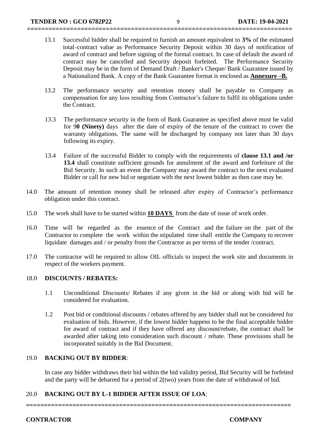13.1 Successful bidder shall be required to furnish an amount equivalent to **3%** of the estimated total contract value as Performance Security Deposit within 30 days of notification of award of contract and before signing of the formal contract. In case of default the award of contract may be cancelled and Security deposit forfeited. The Performance Security Deposit may be in the form of Demand Draft / Banker's Cheque/ Bank Guarantee issued by a Nationalized Bank. A copy of the Bank Guarantee format is enclosed as **Annexure –B.**

**==========================================================================**

- 13.2 The performance security and retention money shall be payable to Company as compensation for any loss resulting from Contractor's failure to fulfil its obligations under the Contract.
- 13.3 The performance security in the form of Bank Guarantee as specified above must be valid for 9**0 (Ninety)** days after the date of expiry of the tenure of the contract to cover the warranty obligations. The same will be discharged by company not later than 30 days following its expiry.
- 13.4 Failure of the successful Bidder to comply with the requirements of **clause 13.1 and /or 13.4** shall constitute sufficient grounds for annulment of the award and forfeiture of the Bid Security. In such an event the Company may award the contract to the next evaluated Bidder or call for new bid or negotiate with the next lowest bidder as then case may be.
- 14.0 The amount of retention money shall be released after expiry of Contractor's performance obligation under this contract.
- 15.0 The work shall have to be started within **10 DAYS** from the date of issue of work order.
- 16.0 Time will be regarded as the essence of the Contract and the failure on the part of the Contractor to complete the work within the stipulated time shall entitle the Company to recover liquidate damages and / or penalty from the Contractor as per terms of the tender /contract.
- 17.0 The contractor will be required to allow OIL officials to inspect the work site and documents in respect of the workers payment.

#### 18.0 **DISCOUNTS / REBATES:**

- 1.1 Unconditional Discounts/ Rebates if any given in the bid or along with bid will be considered for evaluation.
- 1.2 Post bid or conditional discounts / rebates offered by any bidder shall not be considered for evaluation of bids. However, if the lowest bidder happens to be the final acceptable bidder for award of contract and if they have offered any discount/rebate, the contract shall be awarded after taking into consideration such discount / rebate. These provisions shall be incorporated suitably in the Bid Document.

#### 19.0 **BACKING OUT BY BIDDER**:

In case any bidder withdraws their bid within the bid validity period, Bid Security will be forfeited and the party will be debarred for a period of 2(two) years from the date of withdrawal of bid.

#### 20.0 **BACKING OUT BY L-1 BIDDER AFTER ISSUE OF LOA**: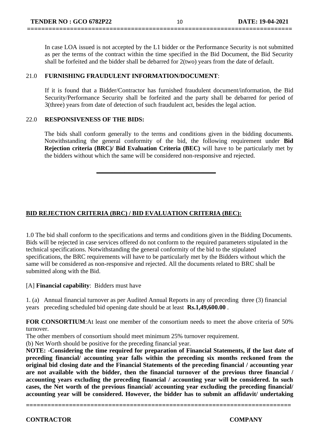In case LOA issued is not accepted by the L1 bidder or the Performance Security is not submitted as per the terms of the contract within the time specified in the Bid Document, the Bid Security shall be forfeited and the bidder shall be debarred for 2(two) years from the date of default.

**==========================================================================**

#### 21.0 **FURNISHING FRAUDULENT INFORMATION/DOCUMENT**:

If it is found that a Bidder/Contractor has furnished fraudulent document/information, the Bid Security/Performance Security shall be forfeited and the party shall be debarred for period of 3(three) years from date of detection of such fraudulent act, besides the legal action.

#### 22.0 **RESPONSIVENESS OF THE BIDS:**

The bids shall conform generally to the terms and conditions given in the bidding documents. Notwithstanding the general conformity of the bid, the following requirement under **Bid Rejection criteria (BRC)/ Bid Evaluation Criteria (BEC)** will have to be particularly met by the bidders without which the same will be considered non-responsive and rejected.

**\_\_\_\_\_\_\_\_\_\_\_\_\_\_\_\_\_\_\_\_\_\_\_\_\_\_\_\_\_\_\_\_\_\_\_\_\_\_**

### **BID REJECTION CRITERIA (BRC) / BID EVALUATION CRITERIA (BEC):**

1.0 The bid shall conform to the specifications and terms and conditions given in the Bidding Documents. Bids will be rejected in case services offered do not conform to the required parameters stipulated in the technical specifications. Notwithstanding the general conformity of the bid to the stipulated specifications, the BRC requirements will have to be particularly met by the Bidders without which the same will be considered as non-responsive and rejected. All the documents related to BRC shall be submitted along with the Bid.

[A] **Financial capability**: Bidders must have

1. (a) Annual financial turnover as per Audited Annual Reports in any of preceding three (3) financial years preceding scheduled bid opening date should be at least **Rs.1,49,600.00** .

**FOR CONSORTIUM**:At least one member of the consortium needs to meet the above criteria of 50% turnover.

The other members of consortium should meet minimum 25% turnover requirement.

(b) Net Worth should be positive for the preceding financial year.

**NOTE: -Considering the time required for preparation of Financial Statements, if the last date of preceding financial/ accounting year falls within the preceding six months reckoned from the original bid closing date and the Financial Statements of the preceding financial / accounting year are not available with the bidder, then the financial turnover of the previous three financial / accounting years excluding the preceding financial / accounting year will be considered. In such cases, the Net worth of the previous financial/ accounting year excluding the preceding financial/ accounting year will be considered. However, the bidder has to submit an affidavit/ undertaking**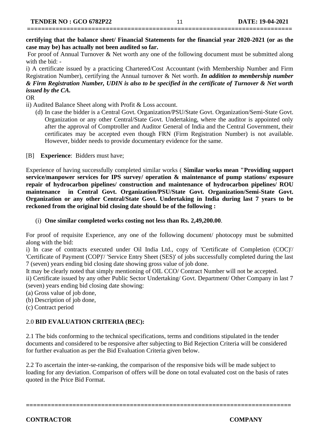## **==========================================================================**

**certifying that the balance sheet/ Financial Statements for the financial year 2020-2021 (or as the case may be) has actually not been audited so far.**

For proof of Annual Turnover & Net worth any one of the following document must be submitted along with the bid: -

i) A certificate issued by a practicing Chartered/Cost Accountant (with Membership Number and Firm Registration Number), certifying the Annual turnover & Net worth. *In addition to membership number & Firm Registration Number, UDIN is also to be specified in the certificate of Turnover & Net worth issued by the CA.*

OR

ii) Audited Balance Sheet along with Profit & Loss account.

(d) In case the bidder is a Central Govt. Organization/PSU/State Govt. Organization/Semi-State Govt. Organization or any other Central/State Govt. Undertaking, where the auditor is appointed only after the approval of Comptroller and Auditor General of India and the Central Government, their certificates may be accepted even though FRN (Firm Registration Number) is not available. However, bidder needs to provide documentary evidence for the same.

[B] **Experience**: Bidders must have;

Experience of having successfully completed similar works ( **Similar works mean "Providing support service/manpower services for IPS survey/ operation & maintenance of pump stations/ exposure repair of hydrocarbon pipelines/ construction and maintenance of hydrocarbon pipelines/ ROU maintenance in Central Govt. Organization/PSU/State Govt. Organization/Semi-State Govt. Organization or any other Central/State Govt. Undertaking in India during last 7 years to be reckoned from the original bid closing date should be of the following :**

(i) **One similar completed works costing not less than Rs. 2,49,200.00**.

For proof of requisite Experience, any one of the following document/ photocopy must be submitted along with the bid:

i) In case of contracts executed under Oil India Ltd., copy of 'Certificate of Completion (COC)'/ 'Certificate of Payment (COP)'/ 'Service Entry Sheet (SES)' of jobs successfully completed during the last 7 (seven) years ending bid closing date showing gross value of job done.

It may be clearly noted that simply mentioning of OIL CCO/ Contract Number will not be accepted.

ii) Certificate issued by any other Public Sector Undertaking/ Govt. Department/ Other Company in last 7 (seven) years ending bid closing date showing:

(a) Gross value of job done,

(b) Description of job done,

(c) Contract period

#### 2.0 **BID EVALUATION CRITERIA (BEC):**

2.1 The bids conforming to the technical specifications, terms and conditions stipulated in the tender documents and considered to be responsive after subjecting to Bid Rejection Criteria will be considered for further evaluation as per the Bid Evaluation Criteria given below.

2.2 To ascertain the inter-se-ranking, the comparison of the responsive bids will be made subject to loading for any deviation. Comparison of offers will be done on total evaluated cost on the basis of rates quoted in the Price Bid Format.

**==========================================================================**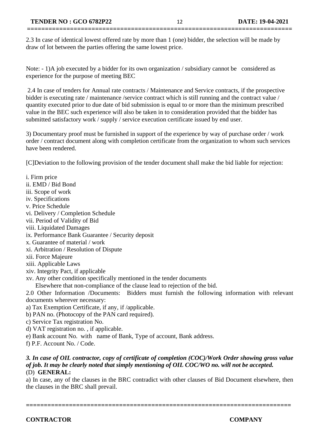2.3 In case of identical lowest offered rate by more than 1 (one) bidder, the selection will be made by draw of lot between the parties offering the same lowest price.

**==========================================================================**

Note:  $-1$ )A job executed by a bidder for its own organization / subsidiary cannot be considered as experience for the purpose of meeting BEC

2.4 In case of tenders for Annual rate contracts / Maintenance and Service contracts, if the prospective bidder is executing rate / maintenance /service contract which is still running and the contract value / quantity executed prior to due date of bid submission is equal to or more than the minimum prescribed value in the BEC such experience will also be taken in to consideration provided that the bidder has submitted satisfactory work / supply / service execution certificate issued by end user.

3) Documentary proof must be furnished in support of the experience by way of purchase order / work order / contract document along with completion certificate from the organization to whom such services have been rendered.

[C]Deviation to the following provision of the tender document shall make the bid liable for rejection:

ii. EMD / Bid Bond iii. Scope of work iv. Specifications v. Price Schedule vi. Delivery / Completion Schedule vii. Period of Validity of Bid viii. Liquidated Damages ix. Performance Bank Guarantee / Security deposit x. Guarantee of material / work xi. Arbitration / Resolution of Dispute xii. Force Majeure xiii. Applicable Laws xiv. Integrity Pact, if applicable xv. Any other condition specifically mentioned in the tender documents Elsewhere that non-compliance of the clause lead to rejection of the bid. 2.0 Other Information /Documents: Bidders must furnish the following information with relevant documents wherever necessary: a) Tax Exemption Certificate, if any, if /applicable. b) PAN no. (Photocopy of the PAN card required). c) Service Tax registration No. d) VAT registration no. , if applicable. e) Bank account No. with name of Bank, Type of account, Bank address. f) P.F. Account No. / Code.

#### *3. In case of OIL contractor, copy of certificate of completion (COC)/Work Order showing gross value of job. It may be clearly noted that simply mentioning of OIL COC/WO no. will not be accepted.* (D) **GENERAL:**

a) In case, any of the clauses in the BRC contradict with other clauses of Bid Document elsewhere, then the clauses in the BRC shall prevail.

i. Firm price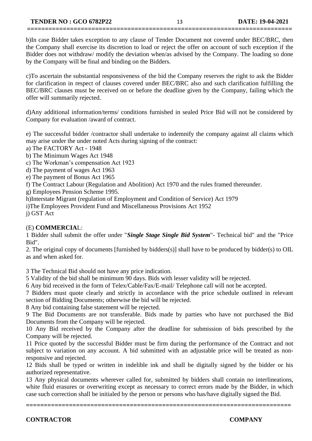#### **TENDER NO : GCO 6782P22** 13 **DATE: 19-04-2021**

b)In case Bidder takes exception to any clause of Tender Document not covered under BEC/BRC, then the Company shall exercise its discretion to load or reject the offer on account of such exception if the Bidder does not withdraw/ modify the deviation when/as advised by the Company. The loading so done by the Company will be final and binding on the Bidders.

**==========================================================================**

c)To ascertain the substantial responsiveness of the bid the Company reserves the right to ask the Bidder for clarification in respect of clauses covered under BEC/BRC also and such clarification fulfilling the BEC/BRC clauses must be received on or before the deadline given by the Company, failing which the offer will summarily rejected.

d)Any additional information/terms/ conditions furnished in sealed Price Bid will not be considered by Company for evaluation /award of contract.

e) The successful bidder /contractor shall undertake to indemnify the company against all claims which may arise under the under noted Acts during signing of the contract:

a) The FACTORY Act - 1948

b) The Minimum Wages Act 1948

c) The Workman's compensation Act 1923

d) The payment of wages Act 1963

e) The payment of Bonus Act 1965

f) The Contract Labour (Regulation and Abolition) Act 1970 and the rules framed thereunder.

g) Employees Pension Scheme 1995.

h)Interstate Migrant (regulation of Employment and Condition of Service) Act 1979

i)The Employees Provident Fund and Miscellaneous Provisions Act 1952

j) GST Act

#### (E) **COMMERCIA**L:

1 Bidder shall submit the offer under "*Single Stage Single Bid System*"- Technical bid" and the "Price Bid".

2. The original copy of documents [furnished by bidders(s)] shall have to be produced by bidder(s) to OIL as and when asked for.

3 The Technical Bid should not have any price indication.

5 Validity of the bid shall be minimum 90 days. Bids with lesser validity will be rejected.

6 Any bid received in the form of Telex/Cable/Fax/E-mail/ Telephone call will not be accepted.

7 Bidders must quote clearly and strictly in accordance with the price schedule outlined in relevant section of Bidding Documents; otherwise the bid will be rejected.

8 Any bid containing false statement will be rejected.

9 The Bid Documents are not transferable. Bids made by parties who have not purchased the Bid Documents from the Company will be rejected.

10 Any Bid received by the Company after the deadline for submission of bids prescribed by the Company will be rejected.

11 Price quoted by the successful Bidder must be firm during the performance of the Contract and not subject to variation on any account. A bid submitted with an adjustable price will be treated as nonresponsive and rejected.

12 Bids shall be typed or written in indelible ink and shall be digitally signed by the bidder or his authorized representative.

13 Any physical documents wherever called for, submitted by bidders shall contain no interlineations, white fluid erasures or overwriting except as necessary to correct errors made by the Bidder, in which case such correction shall be initialed by the person or persons who has/have digitally signed the Bid.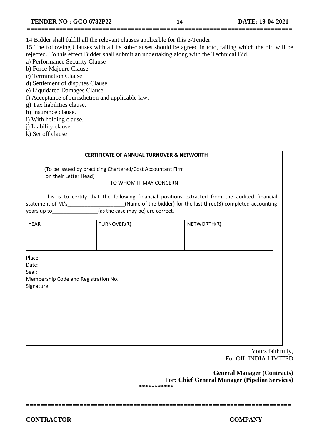- 14 Bidder shall fulfill all the relevant clauses applicable for this e-Tender.
- 15 The following Clauses with all its sub-clauses should be agreed in toto, failing which the bid will be rejected. To this effect Bidder shall submit an undertaking along with the Technical Bid.

**==========================================================================**

- a) Performance Security Clause
- b) Force Majeure Clause
- c) Termination Clause
- d) Settlement of disputes Clause
- e) Liquidated Damages Clause.
- f) Acceptance of Jurisdiction and applicable law.
- g) Tax liabilities clause.
- h) Insurance clause.
- i) With holding clause.
- j) Liability clause.
- k) Set off clause

#### **CERTIFICATE OF ANNUAL TURNOVER & NETWORTH**

 (To be issued by practicing Chartered/Cost Accountant Firm on their Letter Head)

#### TO WHOM IT MAY CONCERN

This is to certify that the following financial positions extracted from the audited financial statement of M/s\_\_\_\_\_\_\_\_\_\_\_\_\_\_\_\_\_\_\_\_\_(Name of the bidder) for the last three(3) completed accounting  $\gamma$ ears up to\_\_\_\_\_\_\_\_\_\_\_\_\_\_\_\_\_\_(as the case may be) are correct.

| <b>YEAR</b> | TURNOVER(₹) | NETWORTH(₹) |
|-------------|-------------|-------------|
|             |             |             |
|             |             |             |
|             |             |             |

Place:

Date:

Seal:

Membership Code and Registration No. **Signature** 

> Yours faithfully, For OIL INDIA LIMITED

 **General Manager (Contracts) For: Chief General Manager (Pipeline Services)** 

**\*\*\*\*\*\*\*\*\*\*\***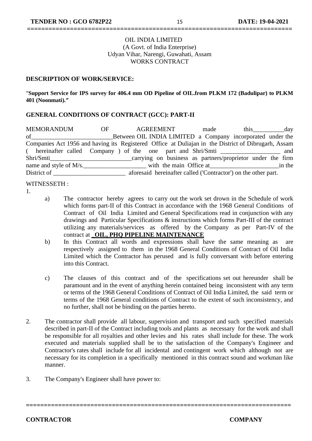#### OIL INDIA LIMITED (A Govt. of India Enterprise) Udyan Vihar, Narengi, Guwahati, Assam WORKS CONTRACT

**==========================================================================**

#### **DESCRIPTION OF WORK/SERVICE:**

"**Support Service for IPS survey for 406.4 mm OD Pipeline of OIL.from PLKM 172 (Badulipar) to PLKM 401 (Noonmati).***"*

#### **GENERAL CONDITIONS OF CONTRACT (GCC): PART-II**

MEMORANDUM OF AGREEMENT made this day of **Subsetuber OIL INDIA LIMITED** a Company incorporated under the Companies Act 1956 and having its Registered Office at Duliajan in the District of Dibrugarh, Assam ( hereinafter called Company ) of the one part and Shri/Smti \_\_\_\_\_\_\_\_\_\_\_\_\_\_\_\_\_\_\_ and Shri/Smti name and style of M/s.\_\_\_\_\_\_\_\_\_\_\_\_\_\_\_\_\_\_\_\_ with the main Office at\_\_\_\_\_\_\_\_\_\_\_\_\_\_\_\_\_\_\_\_\_\_in the District of \_\_\_\_\_\_\_\_\_\_\_\_\_\_\_\_\_\_\_\_\_\_\_\_\_\_\_\_\_\_\_\_\_ aforesaid hereinafter called ('Contractor') on the other part.

#### WITNESSETH :

- 1.
- a) The contractor hereby agrees to carry out the work set drown in the Schedule of work which forms part-II of this Contract in accordance with the 1968 General Conditions of Contract of Oil India Limited and General Specifications read in conjunction with any drawings and Particular Specifications & instructions which forms Part-III of the contract utilizing any materials/services as offered by the Company as per Part-IV of the contract at **\_OIL, PHQ PIPELINE MAINTENANCE**
- b) In this Contract all words and expressions shall have the same meaning as are respectively assigned to them in the 1968 General Conditions of Contract of Oil India Limited which the Contractor has perused and is fully conversant with before entering into this Contract.
- c) The clauses of this contract and of the specifications set out hereunder shall be paramount and in the event of anything herein contained being inconsistent with any term or terms of the 1968 General Conditions of Contract of Oil India Limited, the said term or terms of the 1968 General conditions of Contract to the extent of such inconsistency, and no further, shall not be binding on the parties hereto.
- 2. The contractor shall provide all labour, supervision and transport and such specified materials described in part-II of the Contract including tools and plants as necessary for the work and shall be responsible for all royalties and other levies and his rates shall include for these. The work executed and materials supplied shall be to the satisfaction of the Company's Engineer and Contractor's rates shall include for all incidental and contingent work which although not are necessary for its completion in a specifically mentioned in this contract sound and workman like manner.

**==========================================================================**

3. The Company's Engineer shall have power to: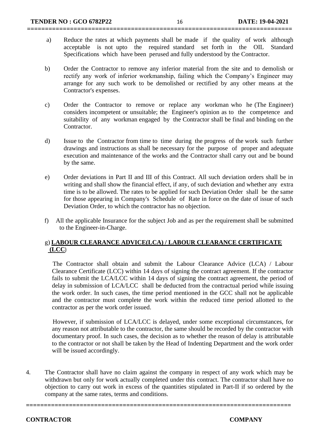a) Reduce the rates at which payments shall be made if the quality of work although acceptable is not upto the required standard set forth in the OIL Standard Specifications which have been perused and fully understood by the Contractor.

**==========================================================================**

- b) Order the Contractor to remove any inferior material from the site and to demolish or rectify any work of inferior workmanship, failing which the Company's Engineer may arrange for any such work to be demolished or rectified by any other means at the Contractor's expenses.
- c) Order the Contractor to remove or replace any workman who he (The Engineer) considers incompetent or unsuitable; the Engineer's opinion as to the competence and suitability of any workman engaged by the Contractor shall be final and binding on the Contractor.
- d) Issue to the Contractor from time to time during the progress of the work such further drawings and instructions as shall be necessary for the purpose of proper and adequate execution and maintenance of the works and the Contractor shall carry out and be bound by the same.
- e) Order deviations in Part II and III of this Contract. All such deviation orders shall be in writing and shall show the financial effect, if any, of such deviation and whether any extra time is to be allowed. The rates to be applied for such Deviation Order shall be the same for those appearing in Company's Schedule of Rate in force on the date of issue of such Deviation Order, to which the contractor has no objection.
- f)All the applicable Insurance for the subject Job and as per the requirement shall be submitted to the Engineer-in-Charge.

#### g) **LABOUR CLEARANCE ADVICE(LCA) / LABOUR CLEARANCE CERTIFICATE (LCC**)

 The Contractor shall obtain and submit the Labour Clearance Advice (LCA) / Labour Clearance Certificate (LCC) within 14 days of signing the contract agreement. If the contractor fails to submit the LCA/LCC within 14 days of signing the contract agreement, the period of delay in submission of LCA/LCC shall be deducted from the contractual period while issuing the work order. In such cases, the time period mentioned in the GCC shall not be applicable and the contractor must complete the work within the reduced time period allotted to the contractor as per the work order issued.

 However, if submission of LCA/LCC is delayed, under some exceptional circumstances, for any reason not attributable to the contractor, the same should be recorded by the contractor with documentary proof. In such cases, the decision as to whether the reason of delay is attributable to the contractor or not shall be taken by the Head of Indenting Department and the work order will be issued accordingly.

4. The Contractor shall have no claim against the company in respect of any work which may be withdrawn but only for work actually completed under this contract. The contractor shall have no objection to carry out work in excess of the quantities stipulated in Part-II if so ordered by the company at the same rates, terms and conditions.

**==========================================================================**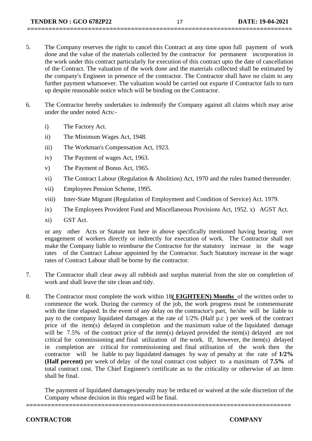5. The Company reserves the right to cancel this Contract at any time upon full payment of work done and the value of the materials collected by the contractor for permanent incorporation in the work under this contract particularly for execution of this contract upto the date of cancellation of the Contract. The valuation of the work done and the materials collected shall be estimated by the company's Engineer in presence of the contractor. The Contractor shall have no claim to any further payment whatsoever. The valuation would be carried out exparte if Contractor fails to turn up despite reasonable notice which will be binding on the Contractor.

**==========================================================================**

- 6. The Contractor hereby undertakes to indemnify the Company against all claims which may arise under the under noted Acts:
	- i) The Factory Act.
	- ii) The Minimum Wages Act, 1948.
	- iii) The Workman's Compensation Act, 1923.
	- iv) The Payment of wages Act, 1963.
	- v) The Payment of Bonus Act, 1965.
	- vi) The Contract Labour (Regulation & Abolition) Act, 1970 and the rules framed thereunder.
	- vii) Employees Pension Scheme, 1995.
	- viii) Inter-State Migrant (Regulation of Employment and Condition of Service) Act. 1979.
	- ix) The Employees Provident Fund and Miscellaneous Provisions Act, 1952. x) AGST Act.
	- xi) GST Act.

or any other Acts or Statute not here in above specifically mentioned having bearing over engagement of workers directly or indirectly for execution of work. The Contractor shall not make the Company liable to reimburse the Contractor for the statutory increase in the wage rates of the Contract Labour appointed by the Contractor. Such Statutory increase in the wage rates of Contract Labour shall be borne by the contractor.

- 7. The Contractor shall clear away all rubbish and surplus material from the site on completion of work and shall leave the site clean and tidy.
- 8. The Contractor must complete the work within 18**( EIGHTEEN) Months** of the written order to commence the work. During the currency of the job, the work progress must be commensurate with the time elapsed. In the event of any delay on the contractor's part, he/she will be liable to pay to the company liquidated damages at the rate of 1/2% (Half p.c ) per week of the contract price of the item(s) delayed in completion and the maximum value of the liquidated damage will be 7.5% of the contract price of the item(s) delayed provided the item(s) delayed are not critical for commissioning and final utilization of the work. If, however, the item(s) delayed in completion are critical for commissioning and final utilisation of the work then the contractor will be liable to pay liquidated damages by way of penalty at the rate of **1/2% (Half percent)** per week of delay of the total contract cost subject to a maximum of **7.5%** of total contract cost. The Chief Engineer's certificate as to the criticality or otherwise of an item shall be final.

The payment of liquidated damages/penalty may be reduced or waived at the sole discretion of the Company whose decision in this regard will be final.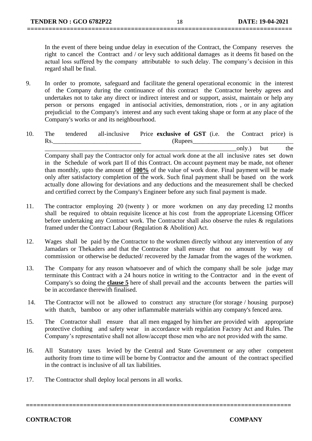In the event of there being undue delay in execution of the Contract, the Company reserves the right to cancel the Contract and / or levy such additional damages as it deems fit based on the actual loss suffered by the company attributable to such delay. The company's decision in this regard shall be final.

9. In order to promote, safeguard and facilitate the general operational economic in the interest of the Company during the continuance of this contract the Contractor hereby agrees and undertakes not to take any direct or indirect interest and or support, assist, maintain or help any person or persons engaged in antisocial activities, demonstration, riots , or in any agitation prejudicial to the Company's interest and any such event taking shape or form at any place of the Company's works or and its neighbourhood.

**==========================================================================**

10. The tendered all-inclusive Price **exclusive of GST** (i.e. the Contract price) is Rs. Contraction (Rupees

 $\text{only.}$  but the Company shall pay the Contractor only for actual work done at the all inclusive rates set down in the Schedule of work part II of this Contract. On account payment may be made, not oftener than monthly, upto the amount of **100%** of the value of work done. Final payment will be made only after satisfactory completion of the work. Such final payment shall be based on the work actually done allowing for deviations and any deductions and the measurement shall be checked and certified correct by the Company's Engineer before any such final payment is made.

- 11. The contractor employing 20 (twenty ) or more workmen on any day preceding 12 months shall be required to obtain requisite licence at his cost from the appropriate Licensing Officer before undertaking any Contract work. The Contractor shall also observe the rules & regulations framed under the Contract Labour (Regulation & Abolition) Act.
- 12. Wages shall be paid by the Contractor to the workmen directly without any intervention of any Jamadars or Thekaders and that the Contractor shall ensure that no amount by way of commission or otherwise be deducted/ recovered by the Jamadar from the wages of the workmen.
- 13. The Company for any reason whatsoever and of which the company shall be sole judge may terminate this Contract with a 24 hours notice in writing to the Contractor and in the event of Company's so doing the **clause 5** here of shall prevail and the accounts between the parties will be in accordance therewith finalised.
- 14. The Contractor will not be allowed to construct any structure (for storage / housing purpose) with thatch, bamboo or any other inflammable materials within any company's fenced area.
- 15. The Contractor shall ensure that all men engaged by him/her are provided with appropriate protective clothing and safety wear in accordance with regulation Factory Act and Rules. The Company's representative shall not allow/accept those men who are not provided with the same.
- 16. All Statutory taxes levied by the Central and State Government or any other competent authority from time to time will be borne by Contractor and the amount of the contract specified in the contract is inclusive of all tax liabilities.

**==========================================================================**

17. The Contractor shall deploy local persons in all works.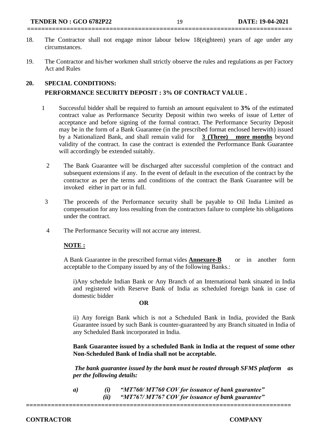- 18. The Contractor shall not engage minor labour below 18(eighteen) years of age under any circumstances.
- 19. The Contractor and his/her workmen shall strictly observe the rules and regulations as per Factory Act and Rules

#### **20. SPECIAL CONDITIONS:**

#### **PERFORMANCE SECURITY DEPOSIT : 3% OF CONTRACT VALUE .**

- 1 Successful bidder shall be required to furnish an amount equivalent to **3%** of the estimated contract value as Performance Security Deposit within two weeks of issue of Letter of acceptance and before signing of the formal contract. The Performance Security Deposit may be in the form of a Bank Guarantee (in the prescribed format enclosed herewith) issued by a Nationalized Bank, and shall remain valid for **3 (Three) more months** beyond validity of the contract. In case the contract is extended the Performance Bank Guarantee will accordingly be extended suitably.
	- 2 The Bank Guarantee will be discharged after successful completion of the contract and subsequent extensions if any. In the event of default in the execution of the contract by the contractor as per the terms and conditions of the contract the Bank Guarantee will be invoked either in part or in full.
- 3 The proceeds of the Performance security shall be payable to Oil India Limited as compensation for any loss resulting from the contractors failure to complete his obligations under the contract.
- 4 The Performance Security will not accrue any interest.

#### **NOTE :**

A Bank Guarantee in the prescribed format vides **Annexure-B** or in another form acceptable to the Company issued by any of the following Banks.:

i)Any schedule Indian Bank or Any Branch of an International bank situated in India and registered with Reserve Bank of India as scheduled foreign bank in case of domestic bidder

#### **OR**

ii) Any foreign Bank which is not a Scheduled Bank in India, provided the Bank Guarantee issued by such Bank is counter-guaranteed by any Branch situated in India of any Scheduled Bank incorporated in India.

**Bank Guarantee issued by a scheduled Bank in India at the request of some other Non-Scheduled Bank of India shall not be acceptable.**

*The bank guarantee issued by the bank must be routed through SFMS platform as per the following details:*

*a) (i) "MT760/ MT760 COV for issuance of bank guarantee" (ii) "MT767/ MT767 COV for issuance of bank guarantee"*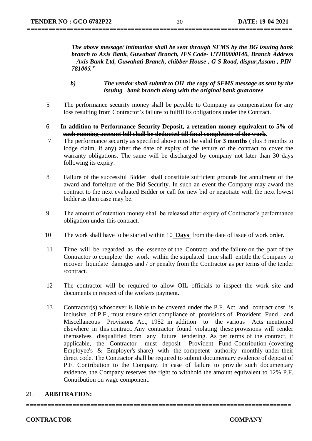*The above message/ intimation shall be sent through SFMS by the BG issuing bank branch to Axis Bank, Guwahati Branch, IFS Code- UTIB0000140, Branch Address – Axis Bank Ltd, Guwahati Branch, chibber House , G S Road, dispur,Assam , PIN-781005."*

- *b) The vendor shall submit to OIL the copy of SFMS message as sent by the issuing bank branch along with the original bank guarantee*
- 5 The performance security money shall be payable to Company as compensation for any loss resulting from Contractor's failure to fulfill its obligations under the Contract.
- 6 **In addition to Performance Security Deposit, a retention money equivalent to 5% of each running account bill shall be deducted till final completion of the work.**
- 7 The performance security as specified above must be valid for **3 months** (plus 3 months to lodge claim, if any) after the date of expiry of the tenure of the contract to cover the warranty obligations. The same will be discharged by company not later than 30 days following its expiry.
- 8 Failure of the successful Bidder shall constitute sufficient grounds for annulment of the award and forfeiture of the Bid Security. In such an event the Company may award the contract to the next evaluated Bidder or call for new bid or negotiate with the next lowest bidder as then case may be.
- 9 The amount of retention money shall be released after expiry of Contractor's performance obligation under this contract.
- 10 The work shall have to be started within 10 **Days** from the date of issue of work order.
- 11 Time will be regarded as the essence of the Contract and the failure on the part of the Contractor to complete the work within the stipulated time shall entitle the Company to recover liquidate damages and / or penalty from the Contractor as per terms of the tender /contract.
- 12 The contractor will be required to allow OIL officials to inspect the work site and documents in respect of the workers payment.
- 13 Contractor(s) whosoever is liable to be covered under the P.F. Act and contract cost is inclusive of P.F., must ensure strict compliance of provisions of Provident Fund and Miscellaneous Provisions Act, 1952 in addition to the various Acts mentioned elsewhere in this contract. Any contractor found violating these provisions will render themselves disqualified from any future tendering. As per terms of the contract, if applicable, the Contractor must deposit Provident Fund Contribution (covering Employee's & Employer's share) with the competent authority monthly under their direct code. The Contractor shall be required to submit documentary evidence of deposit of P.F. Contribution to the Company. In case of failure to provide such documentary evidence, the Company reserves the right to withhold the amount equivalent to 12% P.F. Contribution on wage component.

#### 21. **ARBITRATION:**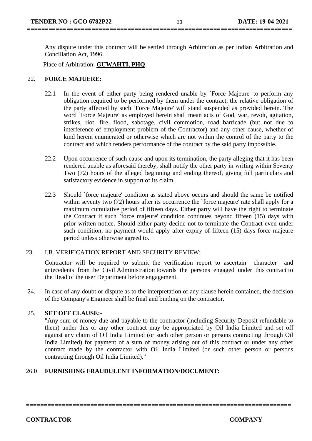Any dispute under this contract will be settled through Arbitration as per Indian Arbitration and Conciliation Act, 1996.

Place of Arbitration: **GUWAHTI, PHQ**.

#### 22. **FORCE MAJUERE:**

- 22.1 In the event of either party being rendered unable by `Force Majeure' to perform any obligation required to be performed by them under the contract, the relative obligation of the party affected by such `Force Majeure' will stand suspended as provided herein. The word `Force Majeure' as employed herein shall mean acts of God, war, revolt, agitation, strikes, riot, fire, flood, sabotage, civil commotion, road barricade (but not due to interference of employment problem of the Contractor) and any other cause, whether of kind herein enumerated or otherwise which are not within the control of the party to the contract and which renders performance of the contract by the said party impossible.
- 22.2 Upon occurrence of such cause and upon its termination, the party alleging that it has been rendered unable as aforesaid thereby, shall notify the other party in writing within Seventy Two (72) hours of the alleged beginning and ending thereof, giving full particulars and satisfactory evidence in support of its claim.
- 22.3 Should `force majeure' condition as stated above occurs and should the same be notified within seventy two (72) hours after its occurrence the 'force majeure' rate shall apply for a maximum cumulative period of fifteen days. Either party will have the right to terminate the Contract if such `force majeure' condition continues beyond fifteen (15) days with prior written notice. Should either party decide not to terminate the Contract even under such condition, no payment would apply after expiry of fifteen (15) days force majeure period unless otherwise agreed to.

#### 23. I.B. VERIFICATION REPORT AND SECURITY REVIEW:

Contractor will be required to submit the verification report to ascertain character and antecedents from the Civil Administration towards the persons engaged under this contract to the Head of the user Department before engagement.

24. In case of any doubt or dispute as to the interpretation of any clause herein contained, the decision of the Company's Engineer shall be final and binding on the contractor.

#### 25. **SET OFF CLAUSE:-**

"Any sum of money due and payable to the contractor (including Security Deposit refundable to them) under this or any other contract may be appropriated by Oil India Limited and set off against any claim of Oil India Limited (or such other person or persons contracting through Oil India Limited) for payment of a sum of money arising out of this contract or under any other contract made by the contractor with Oil India Limited (or such other person or persons contracting through Oil India Limited)."

#### 26.0 **FURNISHING FRAUDULENT INFORMATION/DOCUMENT:**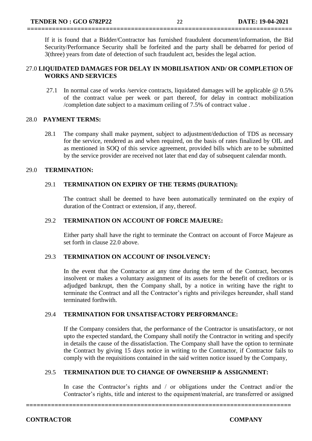If it is found that a Bidder/Contractor has furnished fraudulent document/information, the Bid Security/Performance Security shall be forfeited and the party shall be debarred for period of 3(three) years from date of detection of such fraudulent act, besides the legal action.

#### 27.0 **LIQUIDATED DAMAGES FOR DELAY IN MOBILISATION AND/ OR COMPLETION OF WORKS AND SERVICES**

**==========================================================================**

27.1 In normal case of works /service contracts, liquidated damages will be applicable @ 0.5% of the contract value per week or part thereof, for delay in contract mobilization /completion date subject to a maximum ceiling of 7.5% of contract value .

#### 28.0 **PAYMENT TERMS:**

28.1 The company shall make payment, subject to adjustment/deduction of TDS as necessary for the service, rendered as and when required, on the basis of rates finalized by OIL and as mentioned in SOQ of this service agreement, provided bills which are to be submitted by the service provider are received not later that end day of subsequent calendar month.

#### 29.0 **TERMINATION:**

#### 29.1 **TERMINATION ON EXPIRY OF THE TERMS (DURATION):**

The contract shall be deemed to have been automatically terminated on the expiry of duration of the Contract or extension, if any, thereof.

#### 29.2 **TERMINATION ON ACCOUNT OF FORCE MAJEURE:**

Either party shall have the right to terminate the Contract on account of Force Majeure as set forth in clause 22.0 above.

#### 29.3 **TERMINATION ON ACCOUNT OF INSOLVENCY:**

In the event that the Contractor at any time during the term of the Contract, becomes insolvent or makes a voluntary assignment of its assets for the benefit of creditors or is adjudged bankrupt, then the Company shall, by a notice in writing have the right to terminate the Contract and all the Contractor's rights and privileges hereunder, shall stand terminated forthwith.

#### 29.4 **TERMINATION FOR UNSATISFACTORY PERFORMANCE:**

If the Company considers that, the performance of the Contractor is unsatisfactory, or not upto the expected standard, the Company shall notify the Contractor in writing and specify in details the cause of the dissatisfaction. The Company shall have the option to terminate the Contract by giving 15 days notice in writing to the Contractor, if Contractor fails to comply with the requisitions contained in the said written notice issued by the Company,

#### 29.5 **TERMINATION DUE TO CHANGE OF OWNERSHIP & ASSIGNMENT:**

In case the Contractor's rights and / or obligations under the Contract and/or the Contractor's rights, title and interest to the equipment/material, are transferred or assigned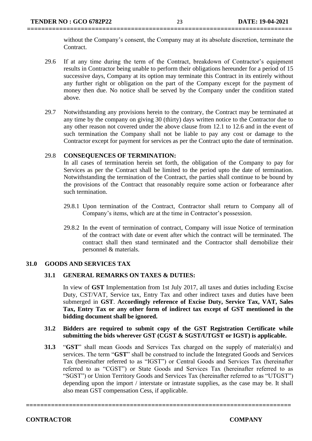without the Company's consent, the Company may at its absolute discretion, terminate the Contract.

- 29.6 If at any time during the term of the Contract, breakdown of Contractor's equipment results in Contractor being unable to perform their obligations hereunder for a period of 15 successive days, Company at its option may terminate this Contract in its entirely without any further right or obligation on the part of the Company except for the payment of money then due. No notice shall be served by the Company under the condition stated above.
- 29.7 Notwithstanding any provisions herein to the contrary, the Contract may be terminated at any time by the company on giving 30 (thirty) days written notice to the Contractor due to any other reason not covered under the above clause from 12.1 to 12.6 and in the event of such termination the Company shall not be liable to pay any cost or damage to the Contractor except for payment for services as per the Contract upto the date of termination.

#### 29.8 **CONSEQUENCES OF TERMINATION:**

In all cases of termination herein set forth, the obligation of the Company to pay for Services as per the Contract shall be limited to the period upto the date of termination. Notwithstanding the termination of the Contract, the parties shall continue to be bound by the provisions of the Contract that reasonably require some action or forbearance after such termination.

- 29.8.1 Upon termination of the Contract, Contractor shall return to Company all of Company's items, which are at the time in Contractor's possession.
- 29.8.2 In the event of termination of contract, Company will issue Notice of termination of the contract with date or event after which the contract will be terminated. The contract shall then stand terminated and the Contractor shall demobilize their personnel & materials.

#### **31.0 GOODS AND SERVICES TAX**

#### **31.1 GENERAL REMARKS ON TAXES & DUTIES:**

In view of **GST** Implementation from 1st July 2017, all taxes and duties including Excise Duty, CST/VAT, Service tax, Entry Tax and other indirect taxes and duties have been submerged in **GST**. **Accordingly reference of Excise Duty, Service Tax, VAT, Sales Tax, Entry Tax or any other form of indirect tax except of GST mentioned in the bidding document shall be ignored.** 

#### **31.2 Bidders are required to submit copy of the GST Registration Certificate while submitting the bids wherever GST (CGST & SGST/UTGST or IGST) is applicable.**

**31.3** "**GST**" shall mean Goods and Services Tax charged on the supply of material(s) and services. The term "**GST**" shall be construed to include the Integrated Goods and Services Tax (hereinafter referred to as "IGST") or Central Goods and Services Tax (hereinafter referred to as "CGST") or State Goods and Services Tax (hereinafter referred to as "SGST") or Union Territory Goods and Services Tax (hereinafter referred to as "UTGST") depending upon the import / interstate or intrastate supplies, as the case may be. It shall also mean GST compensation Cess, if applicable.

**==========================================================================**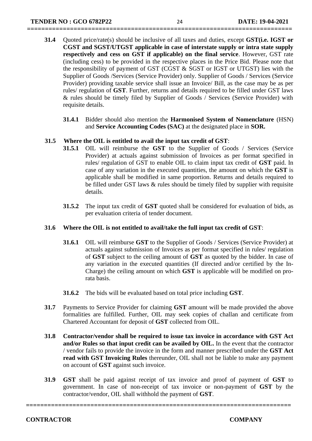**31.4** Quoted price/rate(s) should be inclusive of all taxes and duties, except **GST(i.e. IGST or CGST and SGST/UTGST applicable in case of interstate supply or intra state supply respectively and cess on GST if applicable) on the final service**. However, GST rate (including cess) to be provided in the respective places in the Price Bid. Please note that the responsibility of payment of GST (CGST & SGST or IGST or UTGST) lies with the Supplier of Goods /Services (Service Provider) only. Supplier of Goods / Services (Service Provider) providing taxable service shall issue an Invoice/ Bill, as the case may be as per rules/ regulation of **GST**. Further, returns and details required to be filled under GST laws & rules should be timely filed by Supplier of Goods / Services (Service Provider) with requisite details.

**==========================================================================**

**31.4.1** Bidder should also mention the **Harmonised System of Nomenclature** (HSN) and **Service Accounting Codes (SAC)** at the designated place in **SOR.**

#### **31.5 Where the OIL is entitled to avail the input tax credit of GST**:

- **31.5.1** OIL will reimburse the **GST** to the Supplier of Goods / Services (Service Provider) at actuals against submission of Invoices as per format specified in rules/ regulation of GST to enable OIL to claim input tax credit of **GST** paid. In case of any variation in the executed quantities, the amount on which the **GST** is applicable shall be modified in same proportion. Returns and details required to be filled under GST laws & rules should be timely filed by supplier with requisite details.
- **31.5.2** The input tax credit of **GST** quoted shall be considered for evaluation of bids, as per evaluation criteria of tender document.

#### **31.6 Where the OIL is not entitled to avail/take the full input tax credit of GST**:

- **31.6.1** OIL will reimburse **GST** to the Supplier of Goods / Services (Service Provider) at actuals against submission of Invoices as per format specified in rules/ regulation of **GST** subject to the ceiling amount of **GST** as quoted by the bidder. In case of any variation in the executed quantities (If directed and/or certified by the In-Charge) the ceiling amount on which **GST** is applicable will be modified on prorata basis.
- **31.6.2** The bids will be evaluated based on total price including **GST**.
- **31.7** Payments to Service Provider for claiming **GST** amount will be made provided the above formalities are fulfilled. Further, OIL may seek copies of challan and certificate from Chartered Accountant for deposit of **GST** collected from OIL.
- **31.8 Contractor/vendor shall be required to issue tax invoice in accordance with GST Act and/or Rules so that input credit can be availed by OIL.** In the event that the contractor / vendor fails to provide the invoice in the form and manner prescribed under the **GST Act read with GST Invoicing Rules** thereunder, OIL shall not be liable to make any payment on account of **GST** against such invoice.
- **31.9 GST** shall be paid against receipt of tax invoice and proof of payment of **GST** to government. In case of non-receipt of tax invoice or non-payment of **GST** by the contractor/vendor, OIL shall withhold the payment of **GST**.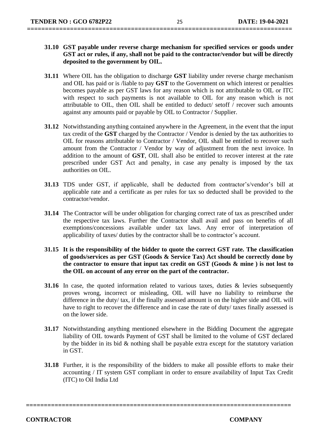- **31.10 GST payable under reverse charge mechanism for specified services or goods under GST act or rules, if any, shall not be paid to the contractor/vendor but will be directly deposited to the government by OIL.**
- **31.11** Where OIL has the obligation to discharge **GST** liability under reverse charge mechanism and OIL has paid or is /liable to pay **GST** to the Government on which interest or penalties becomes payable as per GST laws for any reason which is not attributable to OIL or ITC with respect to such payments is not available to OIL for any reason which is not attributable to OIL, then OIL shall be entitled to deduct/ setoff / recover such amounts against any amounts paid or payable by OIL to Contractor / Supplier.
- **31.12** Notwithstanding anything contained anywhere in the Agreement, in the event that the input tax credit of the **GST** charged by the Contractor / Vendor is denied by the tax authorities to OIL for reasons attributable to Contractor / Vendor, OIL shall be entitled to recover such amount from the Contractor / Vendor by way of adjustment from the next invoice. In addition to the amount of **GST**, OIL shall also be entitled to recover interest at the rate prescribed under GST Act and penalty, in case any penalty is imposed by the tax authorities on OIL.
- **31.13** TDS under GST, if applicable, shall be deducted from contractor's/vendor's bill at applicable rate and a certificate as per rules for tax so deducted shall be provided to the contractor/vendor.
- **31.14** The Contractor will be under obligation for charging correct rate of tax as prescribed under the respective tax laws. Further the Contractor shall avail and pass on benefits of all exemptions/concessions available under tax laws. Any error of interpretation of applicability of taxes/ duties by the contractor shall be to contractor's account.
- **31.15 It is the responsibility of the bidder to quote the correct GST rate. The classification of goods/services as per GST (Goods & Service Tax) Act should be correctly done by the contractor to ensure that input tax credit on GST (Goods & mine ) is not lost to the OIL on account of any error on the part of the contractor.**
- **31.16** In case, the quoted information related to various taxes, duties & levies subsequently proves wrong, incorrect or misleading, OIL will have no liability to reimburse the difference in the duty/ tax, if the finally assessed amount is on the higher side and OIL will have to right to recover the difference and in case the rate of duty/ taxes finally assessed is on the lower side.
- **31.17** Notwithstanding anything mentioned elsewhere in the Bidding Document the aggregate liability of OIL towards Payment of GST shall be limited to the volume of GST declared by the bidder in its bid & nothing shall be payable extra except for the statutory variation in GST.
- **31.18** Further, it is the responsibility of the bidders to make all possible efforts to make their accounting / IT system GST compliant in order to ensure availability of Input Tax Credit (ITC) to Oil India Ltd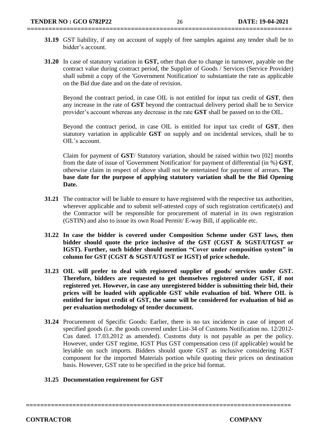- **31.19** GST liability, if any on account of supply of free samples against any tender shall be to bidder's account.
- **31.20** In case of statutory variation in **GST,** other than due to change in turnover, payable on the contract value during contract period, the Supplier of Goods / Services (Service Provider) shall submit a copy of the 'Government Notification' to substantiate the rate as applicable on the Bid due date and on the date of revision.

Beyond the contract period, in case OIL is not entitled for input tax credit of **GST**, then any increase in the rate of **GST** beyond the contractual delivery period shall be to Service provider's account whereas any decrease in the rate **GST** shall be passed on to the OIL.

Beyond the contract period, in case OIL is entitled for input tax credit of **GST**, then statutory variation in applicable **GST** on supply and on incidental services, shall be to OIL's account.

Claim for payment of **GST**/ Statutory variation, should be raised within two [02] months from the date of issue of 'Government Notification' for payment of differential (in %) **GST**, otherwise claim in respect of above shall not be entertained for payment of arrears. **The base date for the purpose of applying statutory variation shall be the Bid Opening Date.**

- **31.21** The contractor will be liable to ensure to have registered with the respective tax authorities, wherever applicable and to submit self-attested copy of such registration certificate(s) and the Contractor will be responsible for procurement of material in its own registration (GSTIN) and also to issue its own Road Permit/ E-way Bill, if applicable etc.
- **31.22 In case the bidder is covered under Composition Scheme under GST laws, then bidder should quote the price inclusive of the GST (CGST & SGST/UTGST or IGST). Further, such bidder should mention "Cover under composition system" in column for GST (CGST & SGST/UTGST or IGST) of price schedule.**
- **31.23 OIL will prefer to deal with registered supplier of goods/ services under GST. Therefore, bidders are requested to get themselves registered under GST, if not registered yet. However, in case any unregistered bidder is submitting their bid, their prices will be loaded with applicable GST while evaluation of bid. Where OIL is entitled for input credit of GST, the same will be considered for evaluation of bid as per evaluation methodology of tender document.**
- **31.24** Procurement of Specific Goods: Earlier, there is no tax incidence in case of import of specified goods (i.e. the goods covered under List-34 of Customs Notification no. 12/2012- Cus dated. 17.03.2012 as amended). Customs duty is not payable as per the policy. However, under GST regime, IGST Plus GST compensation cess (if applicable) would be leyiable on such imports. Bidders should quote GST as inclusive considering IGST component for the imported Materials portion while quoting their prices on destination basis. However, GST rate to be specified in the price bid format.

**==========================================================================**

#### **31.25 Documentation requirement for GST**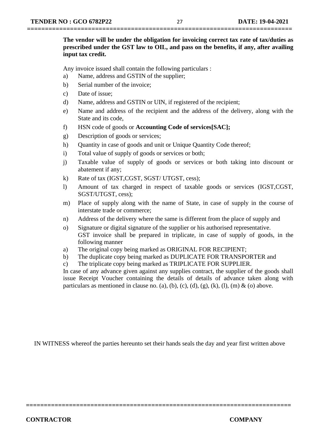**The vendor will be under the obligation for invoicing correct tax rate of tax/duties as prescribed under the GST law to OIL, and pass on the benefits, if any, after availing input tax credit.** 

Any invoice issued shall contain the following particulars :

- a) Name, address and GSTIN of the supplier;
- b) Serial number of the invoice;
- c) Date of issue;
- d) Name, address and GSTIN or UIN, if registered of the recipient;
- e) Name and address of the recipient and the address of the delivery, along with the State and its code,
- f) HSN code of goods or **Accounting Code of services[SAC];**
- g) Description of goods or services;
- h) Quantity in case of goods and unit or Unique Quantity Code thereof;
- i) Total value of supply of goods or services or both;
- j) Taxable value of supply of goods or services or both taking into discount or abatement if any;
- k) Rate of tax (IGST,CGST, SGST/ UTGST, cess);
- l) Amount of tax charged in respect of taxable goods or services (IGST,CGST, SGST/UTGST, cess);
- m) Place of supply along with the name of State, in case of supply in the course of interstate trade or commerce;
- n) Address of the delivery where the same is different from the place of supply and
- o) Signature or digital signature of the supplier or his authorised representative. GST invoice shall be prepared in triplicate, in case of supply of goods, in the following manner
- a) The original copy being marked as ORIGINAL FOR RECIPIENT;
- b) The duplicate copy being marked as DUPLICATE FOR TRANSPORTER and
- c) The triplicate copy being marked as TRIPLICATE FOR SUPPLIER.

In case of any advance given against any supplies contract, the supplier of the goods shall issue Receipt Voucher containing the details of details of advance taken along with particulars as mentioned in clause no. (a), (b), (c), (d), (g), (k), (l), (m) & (o) above.

IN WITNESS whereof the parties hereunto set their hands seals the day and year first written above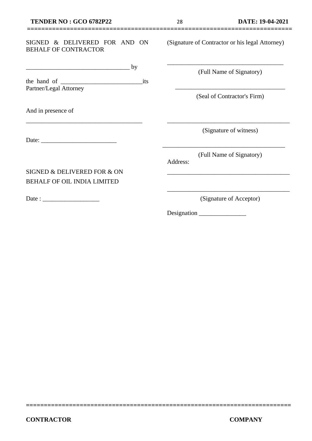#### SIGNED & DELIVERED FOR AND ON BEHALF OF CONTRACTOR

| the hand of            | its |  |
|------------------------|-----|--|
| Partner/Legal Attorney |     |  |

\_\_\_\_\_\_\_\_\_\_\_\_\_\_\_\_\_\_\_\_\_\_\_\_\_\_\_\_\_\_\_\_\_\_\_\_\_

SIGNED & DELIVERED FOR & ON BEHALF OF OIL INDIA LIMITED

 $\frac{1}{\sqrt{2\pi}}$  by

And in presence of

Date:

Date : \_\_\_\_\_\_\_\_\_\_\_\_\_\_\_\_\_\_

(Signature of Contractor or his legal Attorney)

\_\_\_\_\_\_\_\_\_\_\_\_\_\_\_\_\_\_\_\_\_\_\_\_\_\_\_\_\_\_\_\_\_\_\_\_\_

(Full Name of Signatory)

\_\_\_\_\_\_\_\_\_\_\_\_\_\_\_\_\_\_\_\_\_\_\_\_\_\_\_\_\_\_\_\_\_\_\_ (Seal of Contractor's Firm)

(Signature of witness)

\_\_\_\_\_\_\_\_\_\_\_\_\_\_\_\_\_\_\_\_\_\_\_\_\_\_\_\_\_\_\_\_\_\_\_\_\_\_\_

(Full Name of Signatory)

\_\_\_\_\_\_\_\_\_\_\_\_\_\_\_\_\_\_\_\_\_\_\_\_\_\_\_\_\_\_\_\_\_\_\_\_\_\_\_

Address:

**==========================================================================**

(Signature of Acceptor)

\_\_\_\_\_\_\_\_\_\_\_\_\_\_\_\_\_\_\_\_\_\_\_\_\_\_\_\_\_\_\_\_\_\_\_\_\_\_\_

\_\_\_\_\_\_\_\_\_\_\_\_\_\_\_\_\_\_\_\_\_\_\_\_\_\_\_\_\_\_\_\_\_\_\_\_\_\_\_

Designation \_\_\_\_\_\_\_\_\_\_\_\_\_\_\_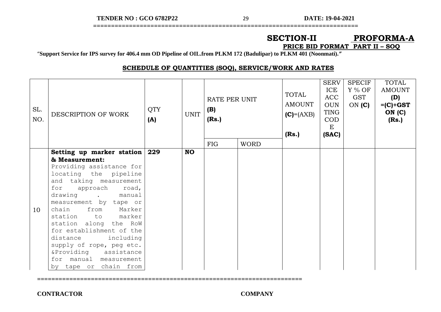**TENDER NO : GCO 6782P22** 29 **DATE: 19-04-2021**

## **==========================================================================**

#### **SECTION-II PROFORMA-A PRICE BID FORMAT PART II – SOQ**

"**Support Service for IPS survey for 406.4 mm OD Pipeline of OIL.from PLKM 172 (Badulipar) to PLKM 401 (Noonmati).***"*

**==========================================================================**

#### **SCHEDULE OF QUANTITIES (SOQ), SERVICE/WORK AND RATES**

| SL.<br>NO. | DESCRIPTION OF WORK                                                                                                                                                                                                                                                                                                                                                                                                                        | <b>QTY</b><br>(A) | <b>UNIT</b> | RATE PER UNIT<br>(B)<br>(Rs.) |             | TOTAL<br><b>AMOUNT</b><br>$(C) = (AXB)$<br>(Rs.) | <b>SERV</b><br>ICE<br><b>ACC</b><br><b>OUN</b><br><b>TING</b><br><b>COD</b><br>E<br>(SAC) | <b>SPECIF</b><br>$Y\%$ OF<br>GST<br>ON $(C)$ | <b>TOTAL</b><br><b>AMOUNT</b><br>(D)<br>$=(C) + GST$<br>ON(C)<br>(Rs.) |
|------------|--------------------------------------------------------------------------------------------------------------------------------------------------------------------------------------------------------------------------------------------------------------------------------------------------------------------------------------------------------------------------------------------------------------------------------------------|-------------------|-------------|-------------------------------|-------------|--------------------------------------------------|-------------------------------------------------------------------------------------------|----------------------------------------------|------------------------------------------------------------------------|
|            |                                                                                                                                                                                                                                                                                                                                                                                                                                            |                   |             | <b>FIG</b>                    | <b>WORD</b> |                                                  |                                                                                           |                                              |                                                                        |
| 10         | Setting up marker station<br>& Measurement:<br>Providing assistance for<br>locating the pipeline<br>and taking measurement<br>for<br>approach<br>road,<br>drawing<br>. manual<br>measurement by tape or<br>chain<br>from<br>Marker<br>station to marker<br>station along the RoW<br>for establishment of the<br>distance including<br>supply of rope, peg etc.<br>&Providing assistance<br>for manual measurement<br>by tape or chain from | 229               | <b>NO</b>   |                               |             |                                                  |                                                                                           |                                              |                                                                        |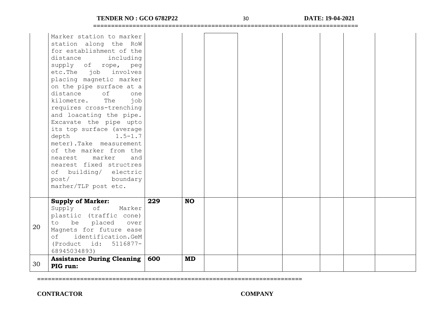|                | (Product id: 5116877-<br>68945034893)<br><b>Assistance During Cleaning</b>                                                                                                                                                                                                                                                                                                                                                                                                                                                                                                                | 600 | <b>MD</b> |  |  |  |  |
|----------------|-------------------------------------------------------------------------------------------------------------------------------------------------------------------------------------------------------------------------------------------------------------------------------------------------------------------------------------------------------------------------------------------------------------------------------------------------------------------------------------------------------------------------------------------------------------------------------------------|-----|-----------|--|--|--|--|
| to<br>20<br>of | <b>Supply of Marker:</b><br>Supply of<br>Marker<br>plastiic (traffic cone)<br>placed<br>be<br>over<br>Magnets for future ease<br>identification.GeM                                                                                                                                                                                                                                                                                                                                                                                                                                       |     |           |  |  |  |  |
|                | Marker station to marker<br>station along the RoW<br>for establishment of the<br>distance<br>including<br>supply of rope, peg<br>etc. The job involves<br>placing magnetic marker<br>on the pipe surface at a<br>distance<br>of<br>one<br>kilometre.<br>The<br>job<br>requires cross-trenching<br>and loacating the pipe.<br>Excavate the pipe upto<br>its top surface (average<br>depth<br>$1.5 - 1.7$<br>meter).Take measurement<br>of the marker from the<br>marker<br>and<br>nearest<br>nearest fixed structres<br>of building/ electric<br>post/<br>boundary<br>marher/TLP post etc. | 229 | <b>NO</b> |  |  |  |  |

**==========================================================================**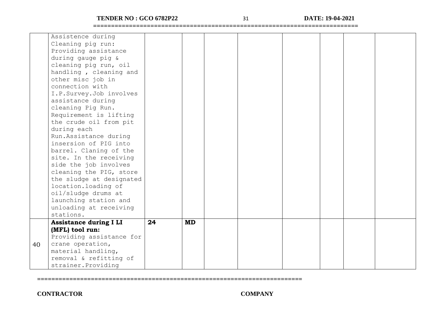**TENDER NO : GCO 6782P22** 31 **DATE: 19-04-2021**

**==========================================================================**

|    | Assistence during             |    |           |  |  |  |
|----|-------------------------------|----|-----------|--|--|--|
|    | Cleaning pig run:             |    |           |  |  |  |
|    | Providing assistance          |    |           |  |  |  |
|    | during gauge pig &            |    |           |  |  |  |
|    | cleaning pig run, oil         |    |           |  |  |  |
|    | handling, cleaning and        |    |           |  |  |  |
|    | other misc job in             |    |           |  |  |  |
|    | connection with               |    |           |  |  |  |
|    | I.P.Survey.Job involves       |    |           |  |  |  |
|    | assistance during             |    |           |  |  |  |
|    | cleaning Pig Run.             |    |           |  |  |  |
|    | Requirement is lifting        |    |           |  |  |  |
|    | the crude oil from pit        |    |           |  |  |  |
|    | during each                   |    |           |  |  |  |
|    | Run.Assistance during         |    |           |  |  |  |
|    | insersion of PIG into         |    |           |  |  |  |
|    | barrel. Claning of the        |    |           |  |  |  |
|    | site. In the receiving        |    |           |  |  |  |
|    | side the job involves         |    |           |  |  |  |
|    | cleaning the PIG, store       |    |           |  |  |  |
|    | the sludge at designated      |    |           |  |  |  |
|    | location. loading of          |    |           |  |  |  |
|    | oil/sludge drums at           |    |           |  |  |  |
|    | launching station and         |    |           |  |  |  |
|    | unloading at receiving        |    |           |  |  |  |
|    | stations.                     |    |           |  |  |  |
|    | <b>Assistance during I LI</b> | 24 | <b>MD</b> |  |  |  |
|    | (MFL) tool run:               |    |           |  |  |  |
|    | Providing assistance for      |    |           |  |  |  |
| 40 | crane operation,              |    |           |  |  |  |
|    | material handling,            |    |           |  |  |  |
|    | removal & refitting of        |    |           |  |  |  |
|    | strainer. Providing           |    |           |  |  |  |

**==========================================================================**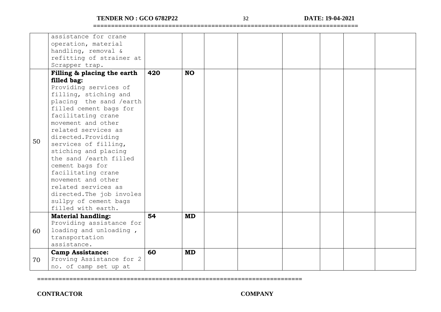#### **TENDER NO : GCO 6782P22** 32 **DATE: 19-04-2021**

**==========================================================================**

|    | assistance for crane        |     |           |  |  |  |
|----|-----------------------------|-----|-----------|--|--|--|
|    |                             |     |           |  |  |  |
|    | operation, material         |     |           |  |  |  |
|    | handling, removal &         |     |           |  |  |  |
|    | refitting of strainer at    |     |           |  |  |  |
|    | Scrapper trap.              |     |           |  |  |  |
|    | Filling & placing the earth | 420 | <b>NO</b> |  |  |  |
|    | filled bag:                 |     |           |  |  |  |
|    | Providing services of       |     |           |  |  |  |
|    | filling, stiching and       |     |           |  |  |  |
|    | placing the sand /earth     |     |           |  |  |  |
|    | filled cement bags for      |     |           |  |  |  |
|    | facilitating crane          |     |           |  |  |  |
|    |                             |     |           |  |  |  |
|    | movement and other          |     |           |  |  |  |
|    | related services as         |     |           |  |  |  |
| 50 | directed. Providing         |     |           |  |  |  |
|    | services of filling,        |     |           |  |  |  |
|    | stiching and placing        |     |           |  |  |  |
|    | the sand /earth filled      |     |           |  |  |  |
|    | cement bags for             |     |           |  |  |  |
|    | facilitating crane          |     |           |  |  |  |
|    | movement and other          |     |           |  |  |  |
|    | related services as         |     |           |  |  |  |
|    |                             |     |           |  |  |  |
|    | directed. The job involes   |     |           |  |  |  |
|    | sullpy of cement bags       |     |           |  |  |  |
|    | filled with earth.          |     |           |  |  |  |
|    | <b>Material handling:</b>   | 54  | <b>MD</b> |  |  |  |
|    | Providing assistance for    |     |           |  |  |  |
| 60 | loading and unloading,      |     |           |  |  |  |
|    | transportation              |     |           |  |  |  |
|    | assistance.                 |     |           |  |  |  |
|    | <b>Camp Assistance:</b>     | 60  | <b>MD</b> |  |  |  |
| 70 | Proving Assistance for 2    |     |           |  |  |  |
|    | no. of camp set up at       |     |           |  |  |  |

**==========================================================================**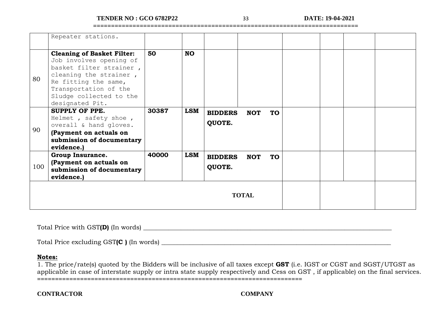**TENDER NO : GCO 6782P22** 33 **DATE: 19-04-2021**

**==========================================================================**

|     | Repeater stations.                                                                                                                                                                                               |       |            |                          |            |           |  |  |
|-----|------------------------------------------------------------------------------------------------------------------------------------------------------------------------------------------------------------------|-------|------------|--------------------------|------------|-----------|--|--|
| 80  | <b>Cleaning of Basket Filter:</b><br>Job involves opening of<br>basket filter strainer,<br>cleaning the strainer,<br>Re fitting the same,<br>Transportation of the<br>Sludge collected to the<br>designated Pit. | 50    | <b>NO</b>  |                          |            |           |  |  |
| 90  | <b>SUPPLY OF PPE.</b><br>Helmet, safety shoe,<br>overall & hand gloves.<br>(Payment on actuals on<br>submission of documentary<br>evidence.)                                                                     | 30387 | <b>LSM</b> | <b>BIDDERS</b><br>QUOTE. | <b>NOT</b> | <b>TO</b> |  |  |
| 100 | Group Insurance.<br>(Payment on actuals on<br>submission of documentary<br>evidence.)                                                                                                                            | 40000 | <b>LSM</b> | <b>BIDDERS</b><br>QUOTE. | <b>NOT</b> | <b>TO</b> |  |  |
|     |                                                                                                                                                                                                                  |       |            | <b>TOTAL</b>             |            |           |  |  |

Total Price with GST(D) (In words)

Total Price excluding GST(C ) (In words)

#### **Notes:**

**==========================================================================** 1. The price/rate(s) quoted by the Bidders will be inclusive of all taxes except **GST** (i.e. IGST or CGST and SGST/UTGST as applicable in case of interstate supply or intra state supply respectively and Cess on GST , if applicable) on the final services.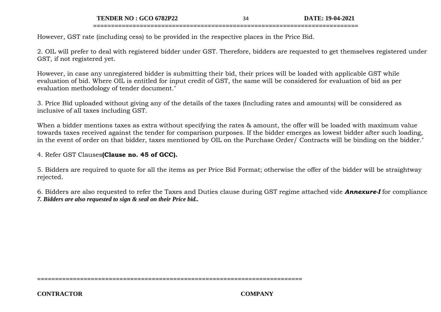**TENDER NO : GCO 6782P22** 34 **DATE: 19-04-2021**

However, GST rate (including cess) to be provided in the respective places in the Price Bid.

2. OIL will prefer to deal with registered bidder under GST. Therefore, bidders are requested to get themselves registered under GST, if not registered yet.

**==========================================================================**

However, in case any unregistered bidder is submitting their bid, their prices will be loaded with applicable GST while evaluation of bid. Where OIL is entitled for input credit of GST, the same will be considered for evaluation of bid as per evaluation methodology of tender document."

3. Price Bid uploaded without giving any of the details of the taxes (Including rates and amounts) will be considered as inclusive of all taxes including GST.

When a bidder mentions taxes as extra without specifying the rates & amount, the offer will be loaded with maximum value towards taxes received against the tender for comparison purposes. If the bidder emerges as lowest bidder after such loading, in the event of order on that bidder, taxes mentioned by OIL on the Purchase Order/ Contracts will be binding on the bidder."

4. Refer GST Clauses**(Clause no. 45 of GCC).**

5. Bidders are required to quote for all the items as per Price Bid Format; otherwise the offer of the bidder will be straightway rejected.

6. Bidders are also requested to refer the Taxes and Duties clause during GST regime attached vide *Annexure-I* for compliance *7. Bidders are also requested to sign & seal on their Price bid..*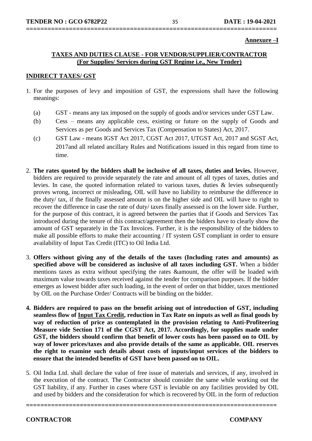**Annexure –I**

#### **TAXES AND DUTIES CLAUSE - FOR VENDOR/SUPPLIER/CONTRACTOR (For Supplies/ Services during GST Regime i.e., New Tender)**

**======================================================================**

#### **INDIRECT TAXES/ GST**

- 1. For the purposes of levy and imposition of GST, the expressions shall have the following meanings:
	- (a) GST means any tax imposed on the supply of goods and/or services under GST Law.
	- (b) Cess means any applicable cess, existing or future on the supply of Goods and Services as per Goods and Services Tax (Compensation to States) Act, 2017.
	- (c) GST Law means IGST Act 2017, CGST Act 2017, UTGST Act, 2017 and SGST Act, 2017and all related ancillary Rules and Notifications issued in this regard from time to time.
- 2. **The rates quoted by the bidders shall be inclusive of all taxes, duties and levies.** However, bidders are required to provide separately the rate and amount of all types of taxes, duties and levies. In case, the quoted information related to various taxes, duties & levies subsequently proves wrong, incorrect or misleading, OIL will have no liability to reimburse the difference in the duty/ tax, if the finally assessed amount is on the higher side and OIL will have to right to recover the difference in case the rate of duty/ taxes finally assessed is on the lower side. Further, for the purpose of this contract, it is agreed between the parties that if Goods and Services Tax introduced during the tenure of this contract/agreement then the bidders have to clearly show the amount of GST separately in the Tax Invoices. Further, it is the responsibility of the bidders to make all possible efforts to make their accounting / IT system GST compliant in order to ensure availability of Input Tax Credit (ITC) to Oil India Ltd.
- 3. **Offers without giving any of the details of the taxes (Including rates and amounts) as specified above will be considered as inclusive of all taxes including GST.** When a bidder mentions taxes as extra without specifying the rates &amount, the offer will be loaded with maximum value towards taxes received against the tender for comparison purposes. If the bidder emerges as lowest bidder after such loading, in the event of order on that bidder, taxes mentioned by OIL on the Purchase Order/ Contracts will be binding on the bidder.
- **4. Bidders are required to pass on the benefit arising out of introduction of GST, including seamless flow of Input Tax Credit, reduction in Tax Rate on inputs as well as final goods by way of reduction of price as contemplated in the provision relating to Anti-Profiteering Measure vide Section 171 of the CGST Act, 2017. Accordingly, for supplies made under GST, the bidders should confirm that benefit of lower costs has been passed on to OIL by way of lower prices/taxes and also provide details of the same as applicable. OIL reserves the right to examine such details about costs of inputs/input services of the bidders to ensure that the intended benefits of GST have been passed on to OIL.**
- 5. Oil India Ltd. shall declare the value of free issue of materials and services, if any, involved in the execution of the contract. The Contractor should consider the same while working out the GST liability, if any. Further in cases where GST is leviable on any facilities provided by OIL and used by bidders and the consideration for which is recovered by OIL in the form of reduction

**======================================================================**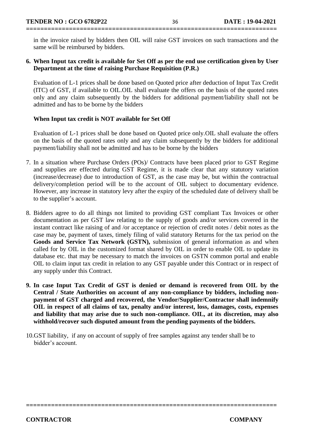in the invoice raised by bidders then OIL will raise GST invoices on such transactions and the same will be reimbursed by bidders.

**======================================================================**

#### **6. When Input tax credit is available for Set Off as per the end use certification given by User Department at the time of raising Purchase Requisition (P.R.)**

Evaluation of L-1 prices shall be done based on Quoted price after deduction of Input Tax Credit (ITC) of GST, if available to OIL.OIL shall evaluate the offers on the basis of the quoted rates only and any claim subsequently by the bidders for additional payment/liability shall not be admitted and has to be borne by the bidders

#### **When Input tax credit is NOT available for Set Off**

Evaluation of L-1 prices shall be done based on Quoted price only.OIL shall evaluate the offers on the basis of the quoted rates only and any claim subsequently by the bidders for additional payment/liability shall not be admitted and has to be borne by the bidders

- 7. In a situation where Purchase Orders (POs)/ Contracts have been placed prior to GST Regime and supplies are effected during GST Regime, it is made clear that any statutory variation (increase/decrease) due to introduction of GST, as the case may be, but within the contractual delivery/completion period will be to the account of OIL subject to documentary evidence. However, any increase in statutory levy after the expiry of the scheduled date of delivery shall be to the supplier's account.
- 8. Bidders agree to do all things not limited to providing GST compliant Tax Invoices or other documentation as per GST law relating to the supply of goods and/or services covered in the instant contract like raising of and /or acceptance or rejection of credit notes / debit notes as the case may be, payment of taxes, timely filing of valid statutory Returns for the tax period on the **Goods and Service Tax Network (GSTN),** submission of general information as and when called for by OIL in the customized format shared by OIL in order to enable OIL to update its database etc. that may be necessary to match the invoices on GSTN common portal and enable OIL to claim input tax credit in relation to any GST payable under this Contract or in respect of any supply under this Contract.
- **9. In case Input Tax Credit of GST is denied or demand is recovered from OIL by the Central / State Authorities on account of any non-compliance by bidders, including nonpayment of GST charged and recovered, the Vendor/Supplier/Contractor shall indemnify OIL in respect of all claims of tax, penalty and/or interest, loss, damages, costs, expenses and liability that may arise due to such non-compliance. OIL, at its discretion, may also withhold/recover such disputed amount from the pending payments of the bidders.**

**======================================================================** 

10.GST liability, if any on account of supply of free samples against any tender shall be to bidder's account.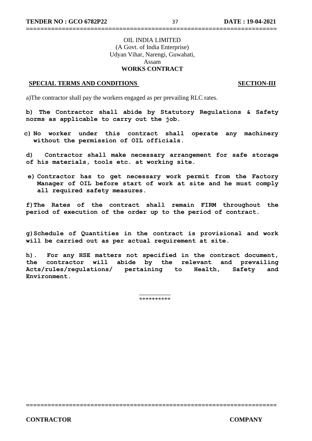#### OIL INDIA LIMITED (A Govt. of India Enterprise) Udyan Vihar, Narengi, Guwahati, Assam **WORKS CONTRACT**

**======================================================================**

#### **SPECIAL TERMS AND CONDITIONS** SECTION-III

a)The contractor shall pay the workers engaged as per prevailing RLC rates.

**b) The Contractor shall abide by Statutory Regulations & Safety norms as applicable to carry out the job.**

**c) No worker under this contract shall operate any machinery without the permission of OIL officials.**

**d) Contractor shall make necessary arrangement for safe storage of his materials, tools etc. at working site.**

**e) Contractor has to get necessary work permit from the Factory Manager of OIL before start of work at site and he must comply all required safety measures.**

**f)The Rates of the contract shall remain FIRM throughout the period of execution of the order up to the period of contract.**

**g)Schedule of Quantities in the contract is provisional and work will be carried out as per actual requirement at site.**

**h). For any HSE matters not specified in the contract document, the contractor will abide by the relevant and prevailing Acts/rules/regulations/ pertaining to Health, Safety and Environment.**

> \_\_\_\_\_\_\_\_\_\_ \*\*\*\*\*\*\*\*\*\*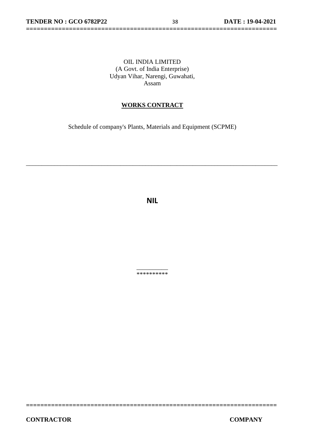#### OIL INDIA LIMITED (A Govt. of India Enterprise) Udyan Vihar, Narengi, Guwahati, Assam

**======================================================================**

#### **WORKS CONTRACT**

Schedule of company's Plants, Materials and Equipment (SCPME)

\_\_\_\_\_\_\_\_\_\_\_\_\_\_\_\_\_\_\_\_\_\_\_\_\_\_\_\_\_\_\_\_\_\_\_\_\_\_\_\_\_\_\_\_\_\_\_\_\_\_\_\_\_\_\_\_\_\_\_\_\_\_\_\_\_\_\_\_\_\_\_\_\_\_\_\_\_\_\_\_

**NIL**

\_\_\_\_\_\_\_\_\_\_ \*\*\*\*\*\*\*\*\*\*

**======================================================================**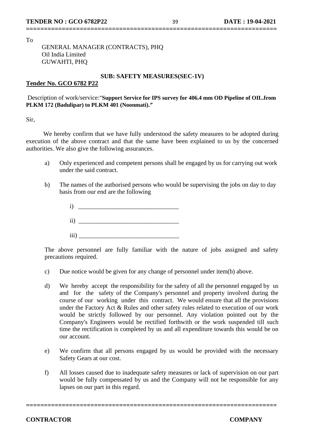To

#### GENERAL MANAGER (CONTRACTS), PHQ Oil India Limited GUWAHTI, PHQ

#### **SUB: SAFETY MEASURES(SEC-1V)**

**======================================================================**

#### **Tender No. GCO 6782 P22**

#### Description of work/service:"**Support Service for IPS survey for 406.4 mm OD Pipeline of OIL.from PLKM 172 (Badulipar) to PLKM 401 (Noonmati).***"*

Sir,

 We hereby confirm that we have fully understood the safety measures to be adopted during execution of the above contract and that the same have been explained to us by the concerned authorities. We also give the following assurances.

- a) Only experienced and competent persons shall be engaged by us for carrying out work under the said contract.
- b) The names of the authorised persons who would be supervising the jobs on day to day basis from our end are the following
	- $i)$   $\overline{\phantom{a}}$  $ii)$  $\overline{\text{iii}}$ )

The above personnel are fully familiar with the nature of jobs assigned and safety precautions required.

- c) Due notice would be given for any change of personnel under item(b) above.
- d) We hereby accept the responsibility for the safety of all the personnel engaged by us and for the safety of the Company's personnel and property involved during the course of our working under this contract. We would ensure that all the provisions under the Factory Act & Rules and other safety rules related to execution of our work would be strictly followed by our personnel. Any violation pointed out by the Company's Engineers would be rectified forthwith or the work suspended till such time the rectification is completed by us and all expenditure towards this would be on our account.
- e) We confirm that all persons engaged by us would be provided with the necessary Safety Gears at our cost.
- f) All losses caused due to inadequate safety measures or lack of supervision on our part would be fully compensated by us and the Company will not be responsible for any lapses on our part in this regard.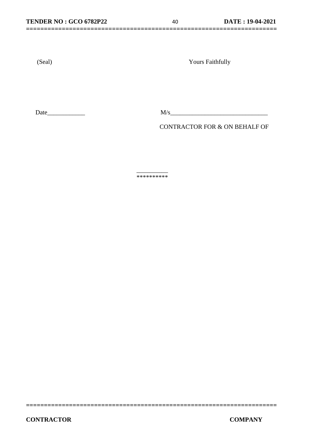**======================================================================**

(Seal) Yours Faithfully

Date  $M/s$ 

CONTRACTOR FOR & ON BEHALF OF

\_\_\_\_\_\_\_\_\_\_ \*\*\*\*\*\*\*\*\*\*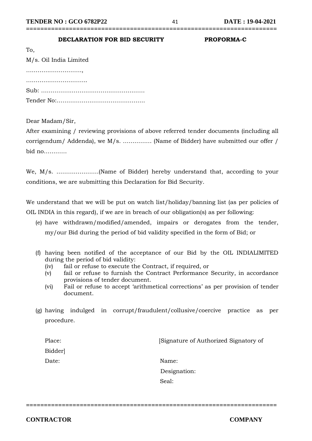### **DECLARATION FOR BID SECURITY PROFORMA-C**

| To,                    |
|------------------------|
| M/s. Oil India Limited |
|                        |
|                        |
|                        |
|                        |

Dear Madam/Sir,

After examining / reviewing provisions of above referred tender documents (including all corrigendum/ Addenda), we M/s. …………… (Name of Bidder) have submitted our offer / bid no…………

**======================================================================**

We, M/s. ………………….(Name of Bidder) hereby understand that, according to your conditions, we are submitting this Declaration for Bid Security.

We understand that we will be put on watch list/holiday/banning list (as per policies of OIL INDIA in this regard), if we are in breach of our obligation(s) as per following:

- (e) have withdrawn/modified/amended, impairs or derogates from the tender, my/our Bid during the period of bid validity specified in the form of Bid; or
- (f) having been notified of the acceptance of our Bid by the OIL INDIALIMITED during the period of bid validity:
	- (iv) fail or refuse to execute the Contract, if required, or
	- (v) fail or refuse to furnish the Contract Performance Security, in accordance provisions of tender document.
	- (vi) Fail or refuse to accept 'arithmetical corrections' as per provision of tender document.
- (g) having indulged in corrupt/fraudulent/collusive/coercive practice as per procedure.

| Place: | [Signature of Authorized Signatory of |
|--------|---------------------------------------|
| Bidder |                                       |
| Date:  | Name:                                 |
|        | Designation:                          |
|        | Seal:                                 |

**======================================================================**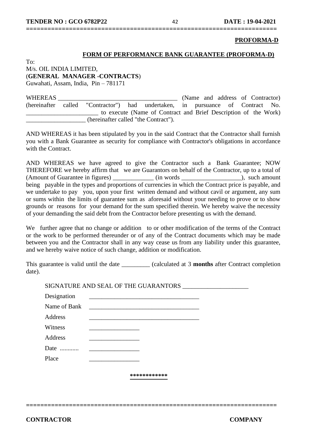#### **PROFORMA-D**

#### **FORM OF PERFORMANCE BANK GUARANTEE (PROFORMA-D)**

 $To^{\dagger}$ M/s. OIL INDIA LIMITED, (**GENERAL MANAGER -CONTRACTS**) Guwahati, Assam, India, Pin – 781171

WHEREAS **EXECUTE:** (Name and address of Contractor) (hereinafter called "Contractor") had undertaken, in pursuance of Contract No. \_\_\_\_\_\_\_\_\_\_\_\_\_\_\_\_\_\_\_\_\_\_\_ to execute (Name of Contract and Brief Description of the Work) \_\_\_\_\_\_\_\_\_\_\_\_\_\_\_\_\_\_\_ (hereinafter called "the Contract").

AND WHEREAS it has been stipulated by you in the said Contract that the Contractor shall furnish you with a Bank Guarantee as security for compliance with Contractor's obligations in accordance with the Contract.

**======================================================================**

AND WHEREAS we have agreed to give the Contractor such a Bank Guarantee; NOW THEREFORE we hereby affirm that we are Guarantors on behalf of the Contractor, up to a total of (Amount of Guarantee in figures) \_\_\_\_\_\_\_\_\_\_\_\_\_ (in words \_\_\_\_\_\_\_\_\_\_\_\_\_\_\_\_\_\_\_), such amount being payable in the types and proportions of currencies in which the Contract price is payable, and we undertake to pay you, upon your first written demand and without cavil or argument, any sum or sums within the limits of guarantee sum as aforesaid without your needing to prove or to show grounds or reasons for your demand for the sum specified therein. We hereby waive the necessity of your demanding the said debt from the Contractor before presenting us with the demand.

We further agree that no change or addition to or other modification of the terms of the Contract or the work to be performed thereunder or of any of the Contract documents which may be made between you and the Contractor shall in any way cease us from any liability under this guarantee, and we hereby waive notice of such change, addition or modification.

This guarantee is valid until the date \_\_\_\_\_\_\_\_\_ (calculated at 3 **months** after Contract completion date).

SIGNATURE AND SEAL OF THE GUARANTORS \_\_\_\_\_\_\_\_\_\_\_\_\_\_\_\_\_\_\_\_\_

| Designation  |              |
|--------------|--------------|
| Name of Bank |              |
| Address      |              |
| Witness      |              |
| Address      |              |
| Date         |              |
| Place        |              |
|              |              |
|              | ************ |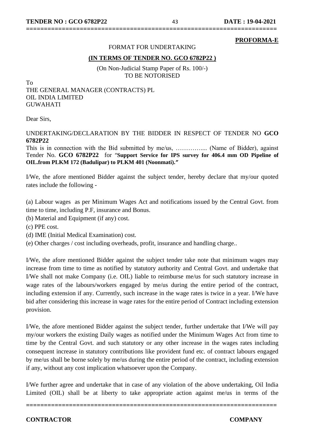#### **PROFORMA-E**

#### FORMAT FOR UNDERTAKING

**======================================================================**

#### **(IN TERMS OF TENDER NO. GCO 6782P22 )**

(On Non-Judicial Stamp Paper of Rs. 100/-) TO BE NOTORISED

To THE GENERAL MANAGER (CONTRACTS) PL OIL INDIA LIMITED GUWAHATI

Dear Sirs,

#### UNDERTAKING/DECLARATION BY THE BIDDER IN RESPECT OF TENDER NO **GCO 6782P22**

This is in connection with the Bid submitted by me/us, ……………... (Name of Bidder), against Tender No. **GCO 6782P22** for "**Support Service for IPS survey for 406.4 mm OD Pipeline of OIL.from PLKM 172 (Badulipar) to PLKM 401 (Noonmati).***"*

I/We, the afore mentioned Bidder against the subject tender, hereby declare that my/our quoted rates include the following -

(a) Labour wages as per Minimum Wages Act and notifications issued by the Central Govt. from time to time, including P.F, insurance and Bonus.

- (b) Material and Equipment (if any) cost.
- (c) PPE cost.
- (d) IME (Initial Medical Examination) cost.
- (e) Other charges / cost including overheads, profit, insurance and handling charge..

I/We, the afore mentioned Bidder against the subject tender take note that minimum wages may increase from time to time as notified by statutory authority and Central Govt. and undertake that I/We shall not make Company (i.e. OIL) liable to reimburse me/us for such statutory increase in wage rates of the labours/workers engaged by me/us during the entire period of the contract, including extension if any. Currently, such increase in the wage rates is twice in a year. I/We have bid after considering this increase in wage rates for the entire period of Contract including extension provision.

I/We, the afore mentioned Bidder against the subject tender, further undertake that I/We will pay my/our workers the existing Daily wages as notified under the Minimum Wages Act from time to time by the Central Govt. and such statutory or any other increase in the wages rates including consequent increase in statutory contributions like provident fund etc. of contract labours engaged by me/us shall be borne solely by me/us during the entire period of the contract, including extension if any, without any cost implication whatsoever upon the Company.

I/We further agree and undertake that in case of any violation of the above undertaking, Oil India Limited (OIL) shall be at liberty to take appropriate action against me/us in terms of the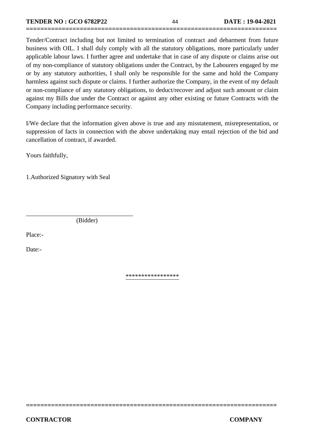Tender/Contract including but not limited to termination of contract and debarment from future business with OIL. I shall duly comply with all the statutory obligations, more particularly under applicable labour laws. I further agree and undertake that in case of any dispute or claims arise out of my non-compliance of statutory obligations under the Contract, by the Labourers engaged by me or by any statutory authorities, I shall only be responsible for the same and hold the Company harmless against such dispute or claims. I further authorize the Company, in the event of my default or non-compliance of any statutory obligations, to deduct/recover and adjust such amount or claim against my Bills due under the Contract or against any other existing or future Contracts with the Company including performance security.

**======================================================================**

I/We declare that the information given above is true and any misstatement, misrepresentation, or suppression of facts in connection with the above undertaking may entail rejection of the bid and cancellation of contract, if awarded.

Yours faithfully,

1.Authorized Signatory with Seal

(Bidder)

\_\_\_\_\_\_\_\_\_\_\_\_\_\_\_\_\_\_\_\_\_\_\_\_\_\_\_\_\_\_\_\_\_\_

Place:-

Date:-

\*\*\*\*\*\*\*\*\*\*\*\*\*\*\*\*\*

**======================================================================**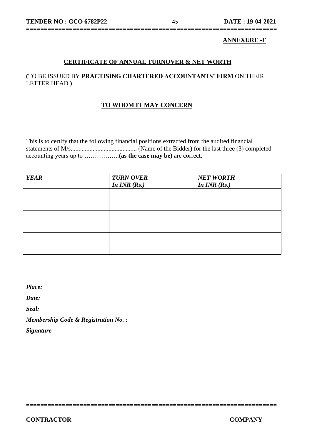#### **ANNEXURE -F**

#### **CERTIFICATE OF ANNUAL TURNOVER & NET WORTH**

**======================================================================**

#### **(**TO BE ISSUED BY **PRACTISING CHARTERED ACCOUNTANTS' FIRM** ON THEIR LETTER HEAD **)**

#### **TO WHOM IT MAY CONCERN**

This is to certify that the following financial positions extracted from the audited financial statements of M/s.......................................... (Name of the Bidder) for the last three (3) completed accounting years up to ……………..**(as the case may be)** are correct.

| <b>YEAR</b> | <b>TURN OVER</b> | <b>NET WORTH</b> |
|-------------|------------------|------------------|
|             | In $INR(Rs.)$    | In $INR(Rs.)$    |
|             |                  |                  |
|             |                  |                  |
|             |                  |                  |
|             |                  |                  |
|             |                  |                  |
|             |                  |                  |
|             |                  |                  |
|             |                  |                  |
|             |                  |                  |

**======================================================================** 

*Place:*

*Date:*

*Seal:*

*Membership Code & Registration No. :*

*Signature*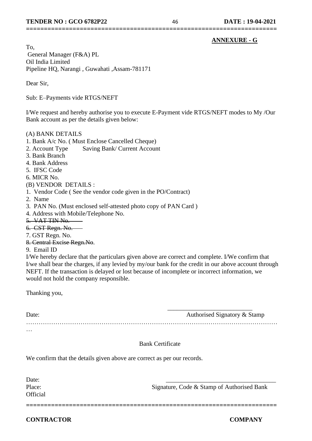#### **ANNEXURE - G**

To, General Manager (F&A) PL Oil India Limited Pipeline HQ, Narangi , Guwahati ,Assam-781171

Dear Sir,

Sub: E–Payments vide RTGS/NEFT

I/We request and hereby authorise you to execute E-Payment vide RTGS/NEFT modes to My /Our Bank account as per the details given below:

**======================================================================**

#### (A) BANK DETAILS

- 1. Bank A/c No. ( Must Enclose Cancelled Cheque)
- 2. Account Type Saving Bank/ Current Account
- 3. Bank Branch
- 4. Bank Address
- 5. IFSC Code
- 6. MICR No.

#### (B) VENDOR DETAILS :

- 1. Vendor Code ( See the vendor code given in the PO/Contract)
- 2. Name
- 3. PAN No. (Must enclosed self-attested photo copy of PAN Card )
- 4. Address with Mobile/Telephone No.
- 5. VAT TIN No.
- 6. CST Regn. No.
- 7. GST Regn. No.
- 8. Central Excise Regn.No.
- 9. Email ID

I/We hereby declare that the particulars given above are correct and complete. I/We confirm that I/we shall bear the charges, if any levied by my/our bank for the credit in our above account through NEFT. If the transaction is delayed or lost because of incomplete or incorrect information, we would not hold the company responsible.

Thanking you,

| Date:    | Authorised Signatory & Stamp |
|----------|------------------------------|
|          |                              |
| $\cdots$ |                              |

**======================================================================** 

#### Bank Certificate

We confirm that the details given above are correct as per our records.

Date: **Official** 

Place: Signature, Code & Stamp of Authorised Bank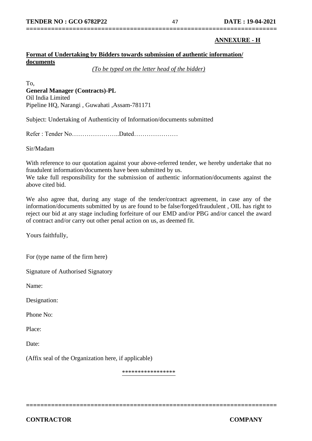## **======================================================================**

#### **ANNEXURE - H**

#### **Format of Undertaking by Bidders towards submission of authentic information/ documents**

*(To be typed on the letter head of the bidder)*

To, **General Manager (Contracts)-PL** Oil India Limited Pipeline HQ, Narangi , Guwahati ,Assam-781171

Subject: Undertaking of Authenticity of Information/documents submitted

Refer : Tender No…………………..Dated…………………

Sir/Madam

With reference to our quotation against your above-referred tender, we hereby undertake that no fraudulent information/documents have been submitted by us.

We take full responsibility for the submission of authentic information/documents against the above cited bid.

We also agree that, during any stage of the tender/contract agreement, in case any of the information/documents submitted by us are found to be false/forged/fraudulent , OIL has right to reject our bid at any stage including forfeiture of our EMD and/or PBG and/or cancel the award of contract and/or carry out other penal action on us, as deemed fit.

Yours faithfully,

For (type name of the firm here)

Signature of Authorised Signatory

Name:

Designation:

Phone No:

Place:

Date:

(Affix seal of the Organization here, if applicable)

\*\*\*\*\*\*\*\*\*\*\*\*\*\*\*\*\*